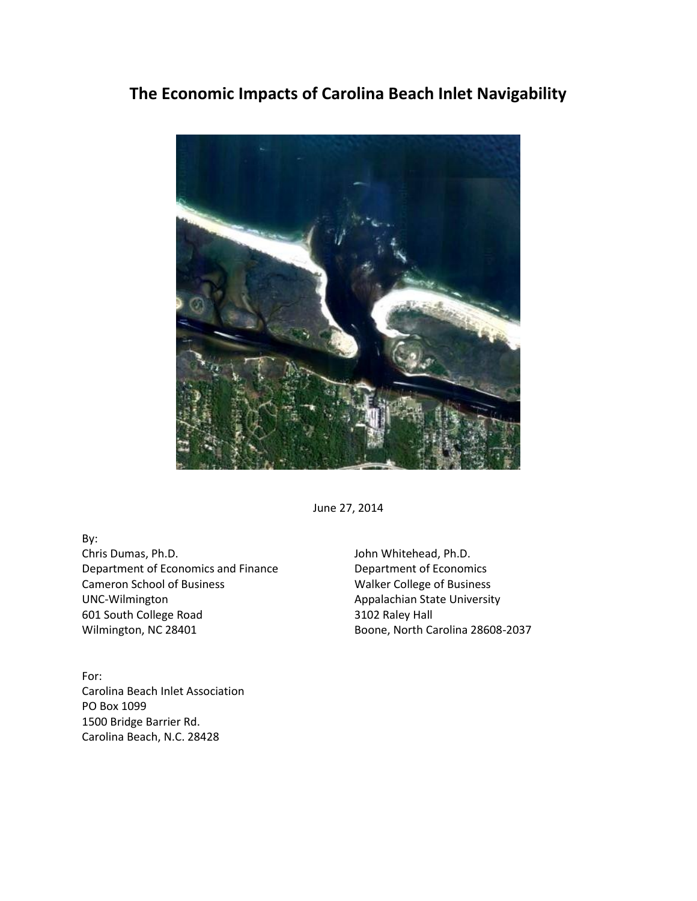## **The Economic Impacts of Carolina Beach Inlet Navigability**



June 27, 2014

By:

Chris Dumas, Ph.D. Department of Economics and Finance Cameron School of Business UNC-Wilmington 601 South College Road Wilmington, NC 28401

For: Carolina Beach Inlet Association PO Box 1099 1500 Bridge Barrier Rd. Carolina Beach, N.C. 28428

John Whitehead, Ph.D. Department of Economics Walker College of Business Appalachian State University 3102 Raley Hall Boone, North Carolina 28608-2037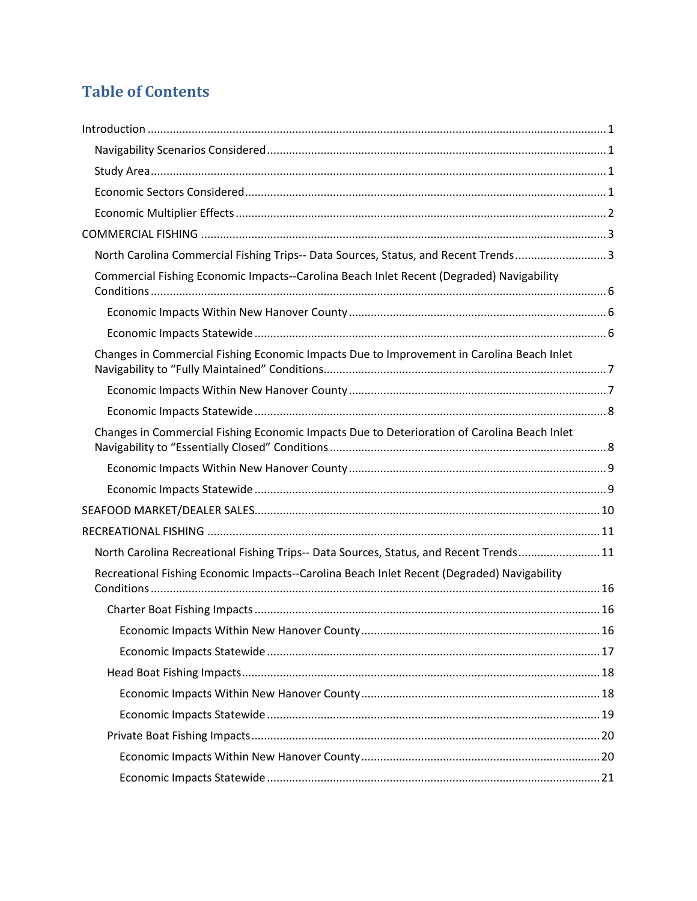# **Table of Contents**

| North Carolina Commercial Fishing Trips-- Data Sources, Status, and Recent Trends3          |  |
|---------------------------------------------------------------------------------------------|--|
| Commercial Fishing Economic Impacts--Carolina Beach Inlet Recent (Degraded) Navigability    |  |
|                                                                                             |  |
|                                                                                             |  |
| Changes in Commercial Fishing Economic Impacts Due to Improvement in Carolina Beach Inlet   |  |
|                                                                                             |  |
|                                                                                             |  |
| Changes in Commercial Fishing Economic Impacts Due to Deterioration of Carolina Beach Inlet |  |
|                                                                                             |  |
|                                                                                             |  |
|                                                                                             |  |
|                                                                                             |  |
|                                                                                             |  |
| North Carolina Recreational Fishing Trips-- Data Sources, Status, and Recent Trends 11      |  |
| Recreational Fishing Economic Impacts--Carolina Beach Inlet Recent (Degraded) Navigability  |  |
|                                                                                             |  |
|                                                                                             |  |
|                                                                                             |  |
|                                                                                             |  |
|                                                                                             |  |
|                                                                                             |  |
|                                                                                             |  |
|                                                                                             |  |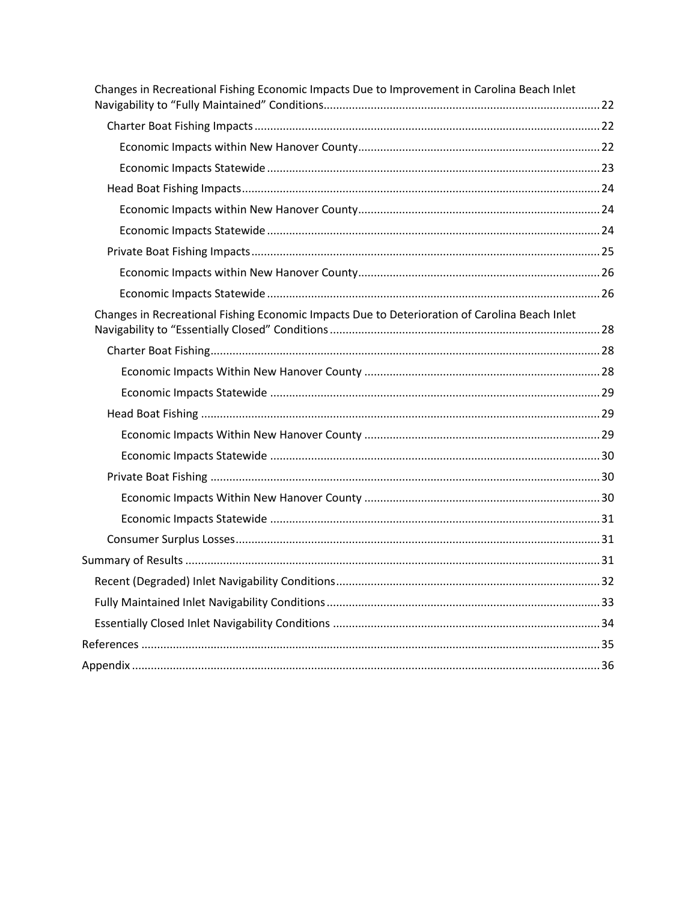| Changes in Recreational Fishing Economic Impacts Due to Improvement in Carolina Beach Inlet   |  |
|-----------------------------------------------------------------------------------------------|--|
|                                                                                               |  |
|                                                                                               |  |
|                                                                                               |  |
|                                                                                               |  |
|                                                                                               |  |
|                                                                                               |  |
|                                                                                               |  |
|                                                                                               |  |
|                                                                                               |  |
|                                                                                               |  |
| Changes in Recreational Fishing Economic Impacts Due to Deterioration of Carolina Beach Inlet |  |
|                                                                                               |  |
|                                                                                               |  |
|                                                                                               |  |
|                                                                                               |  |
|                                                                                               |  |
|                                                                                               |  |
|                                                                                               |  |
|                                                                                               |  |
|                                                                                               |  |
|                                                                                               |  |
|                                                                                               |  |
|                                                                                               |  |
|                                                                                               |  |
|                                                                                               |  |
|                                                                                               |  |
|                                                                                               |  |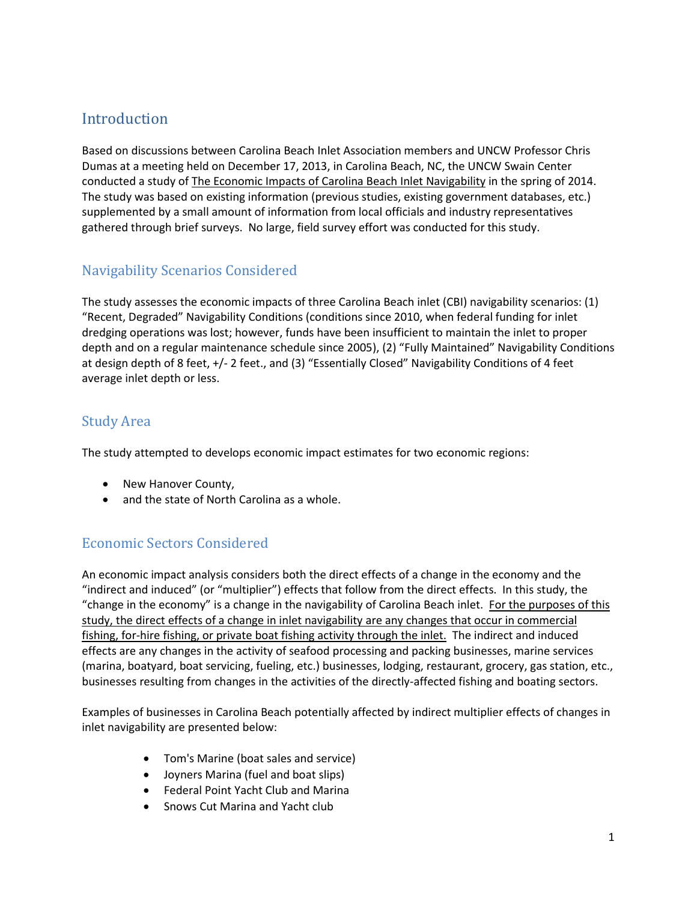## <span id="page-3-0"></span>Introduction

Based on discussions between Carolina Beach Inlet Association members and UNCW Professor Chris Dumas at a meeting held on December 17, 2013, in Carolina Beach, NC, the UNCW Swain Center conducted a study of The Economic Impacts of Carolina Beach Inlet Navigability in the spring of 2014. The study was based on existing information (previous studies, existing government databases, etc.) supplemented by a small amount of information from local officials and industry representatives gathered through brief surveys. No large, field survey effort was conducted for this study.

## <span id="page-3-1"></span>Navigability Scenarios Considered

The study assesses the economic impacts of three Carolina Beach inlet (CBI) navigability scenarios: (1) "Recent, Degraded" Navigability Conditions (conditions since 2010, when federal funding for inlet dredging operations was lost; however, funds have been insufficient to maintain the inlet to proper depth and on a regular maintenance schedule since 2005), (2) "Fully Maintained" Navigability Conditions at design depth of 8 feet, +/- 2 feet., and (3) "Essentially Closed" Navigability Conditions of 4 feet average inlet depth or less.

## <span id="page-3-2"></span>Study Area

The study attempted to develops economic impact estimates for two economic regions:

- New Hanover County,
- and the state of North Carolina as a whole.

## <span id="page-3-3"></span>Economic Sectors Considered

An economic impact analysis considers both the direct effects of a change in the economy and the "indirect and induced" (or "multiplier") effects that follow from the direct effects. In this study, the "change in the economy" is a change in the navigability of Carolina Beach inlet. For the purposes of this study, the direct effects of a change in inlet navigability are any changes that occur in commercial fishing, for-hire fishing, or private boat fishing activity through the inlet. The indirect and induced effects are any changes in the activity of seafood processing and packing businesses, marine services (marina, boatyard, boat servicing, fueling, etc.) businesses, lodging, restaurant, grocery, gas station, etc., businesses resulting from changes in the activities of the directly-affected fishing and boating sectors.

Examples of businesses in Carolina Beach potentially affected by indirect multiplier effects of changes in inlet navigability are presented below:

- Tom's Marine (boat sales and service)
- Joyners Marina (fuel and boat slips)
- Federal Point Yacht Club and Marina
- Snows Cut Marina and Yacht club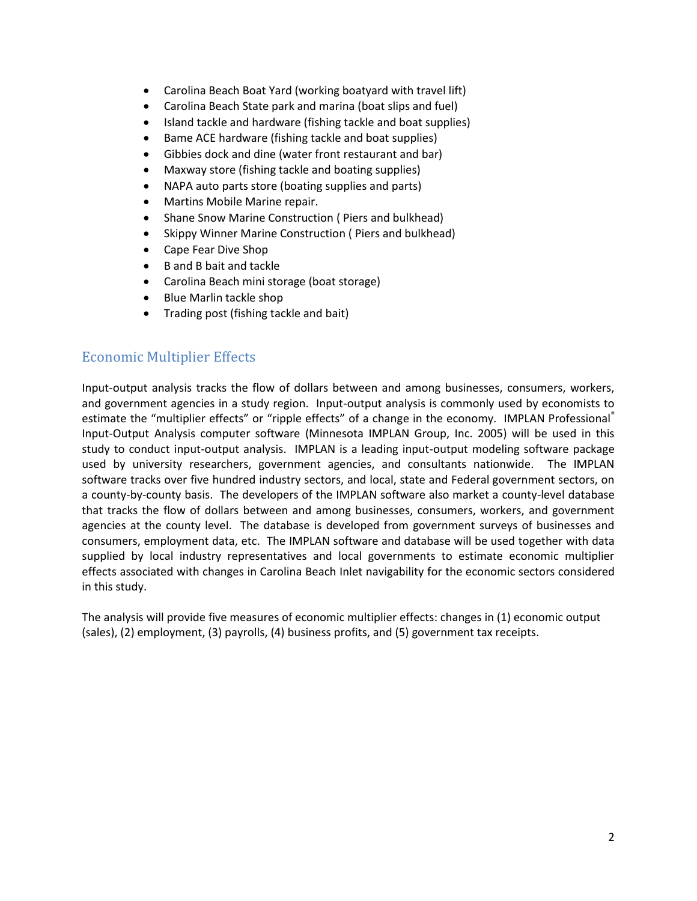- Carolina Beach Boat Yard (working boatyard with travel lift)
- Carolina Beach State park and marina (boat slips and fuel)
- Island tackle and hardware (fishing tackle and boat supplies)
- Bame ACE hardware (fishing tackle and boat supplies)
- Gibbies dock and dine (water front restaurant and bar)
- Maxway store (fishing tackle and boating supplies)
- NAPA auto parts store (boating supplies and parts)
- Martins Mobile Marine repair.
- Shane Snow Marine Construction ( Piers and bulkhead)
- Skippy Winner Marine Construction ( Piers and bulkhead)
- Cape Fear Dive Shop
- B and B bait and tackle
- Carolina Beach mini storage (boat storage)
- Blue Marlin tackle shop
- Trading post (fishing tackle and bait)

## <span id="page-4-0"></span>Economic Multiplier Effects

Input-output analysis tracks the flow of dollars between and among businesses, consumers, workers, and government agencies in a study region. Input-output analysis is commonly used by economists to estimate the "multiplier effects" or "ripple effects" of a change in the economy. IMPLAN Professional® Input-Output Analysis computer software (Minnesota IMPLAN Group, Inc. 2005) will be used in this study to conduct input-output analysis. IMPLAN is a leading input-output modeling software package used by university researchers, government agencies, and consultants nationwide. The IMPLAN software tracks over five hundred industry sectors, and local, state and Federal government sectors, on a county-by-county basis. The developers of the IMPLAN software also market a county-level database that tracks the flow of dollars between and among businesses, consumers, workers, and government agencies at the county level. The database is developed from government surveys of businesses and consumers, employment data, etc. The IMPLAN software and database will be used together with data supplied by local industry representatives and local governments to estimate economic multiplier effects associated with changes in Carolina Beach Inlet navigability for the economic sectors considered in this study.

The analysis will provide five measures of economic multiplier effects: changes in (1) economic output (sales), (2) employment, (3) payrolls, (4) business profits, and (5) government tax receipts.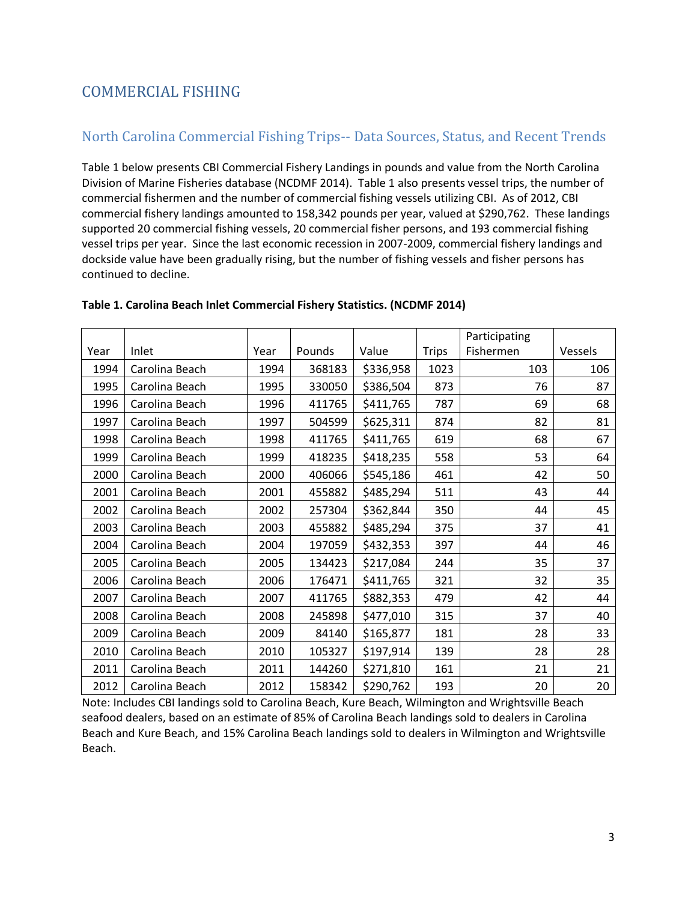## <span id="page-5-0"></span>COMMERCIAL FISHING

## <span id="page-5-1"></span>North Carolina Commercial Fishing Trips-- Data Sources, Status, and Recent Trends

Table 1 below presents CBI Commercial Fishery Landings in pounds and value from the North Carolina Division of Marine Fisheries database (NCDMF 2014). Table 1 also presents vessel trips, the number of commercial fishermen and the number of commercial fishing vessels utilizing CBI. As of 2012, CBI commercial fishery landings amounted to 158,342 pounds per year, valued at \$290,762. These landings supported 20 commercial fishing vessels, 20 commercial fisher persons, and 193 commercial fishing vessel trips per year. Since the last economic recession in 2007-2009, commercial fishery landings and dockside value have been gradually rising, but the number of fishing vessels and fisher persons has continued to decline.

|      |                |      |        |           |              | Participating |         |
|------|----------------|------|--------|-----------|--------------|---------------|---------|
| Year | Inlet          | Year | Pounds | Value     | <b>Trips</b> | Fishermen     | Vessels |
| 1994 | Carolina Beach | 1994 | 368183 | \$336,958 | 1023         | 103           | 106     |
| 1995 | Carolina Beach | 1995 | 330050 | \$386,504 | 873          | 76            | 87      |
| 1996 | Carolina Beach | 1996 | 411765 | \$411,765 | 787          | 69            | 68      |
| 1997 | Carolina Beach | 1997 | 504599 | \$625,311 | 874          | 82            | 81      |
| 1998 | Carolina Beach | 1998 | 411765 | \$411,765 | 619          | 68            | 67      |
| 1999 | Carolina Beach | 1999 | 418235 | \$418,235 | 558          | 53            | 64      |
| 2000 | Carolina Beach | 2000 | 406066 | \$545,186 | 461          | 42            | 50      |
| 2001 | Carolina Beach | 2001 | 455882 | \$485,294 | 511          | 43            | 44      |
| 2002 | Carolina Beach | 2002 | 257304 | \$362,844 | 350          | 44            | 45      |
| 2003 | Carolina Beach | 2003 | 455882 | \$485,294 | 375          | 37            | 41      |
| 2004 | Carolina Beach | 2004 | 197059 | \$432,353 | 397          | 44            | 46      |
| 2005 | Carolina Beach | 2005 | 134423 | \$217,084 | 244          | 35            | 37      |
| 2006 | Carolina Beach | 2006 | 176471 | \$411,765 | 321          | 32            | 35      |
| 2007 | Carolina Beach | 2007 | 411765 | \$882,353 | 479          | 42            | 44      |
| 2008 | Carolina Beach | 2008 | 245898 | \$477,010 | 315          | 37            | 40      |
| 2009 | Carolina Beach | 2009 | 84140  | \$165,877 | 181          | 28            | 33      |
| 2010 | Carolina Beach | 2010 | 105327 | \$197,914 | 139          | 28            | 28      |
| 2011 | Carolina Beach | 2011 | 144260 | \$271,810 | 161          | 21            | 21      |
| 2012 | Carolina Beach | 2012 | 158342 | \$290,762 | 193          | 20            | 20      |

#### **Table 1. Carolina Beach Inlet Commercial Fishery Statistics. (NCDMF 2014)**

Note: Includes CBI landings sold to Carolina Beach, Kure Beach, Wilmington and Wrightsville Beach seafood dealers, based on an estimate of 85% of Carolina Beach landings sold to dealers in Carolina Beach and Kure Beach, and 15% Carolina Beach landings sold to dealers in Wilmington and Wrightsville Beach.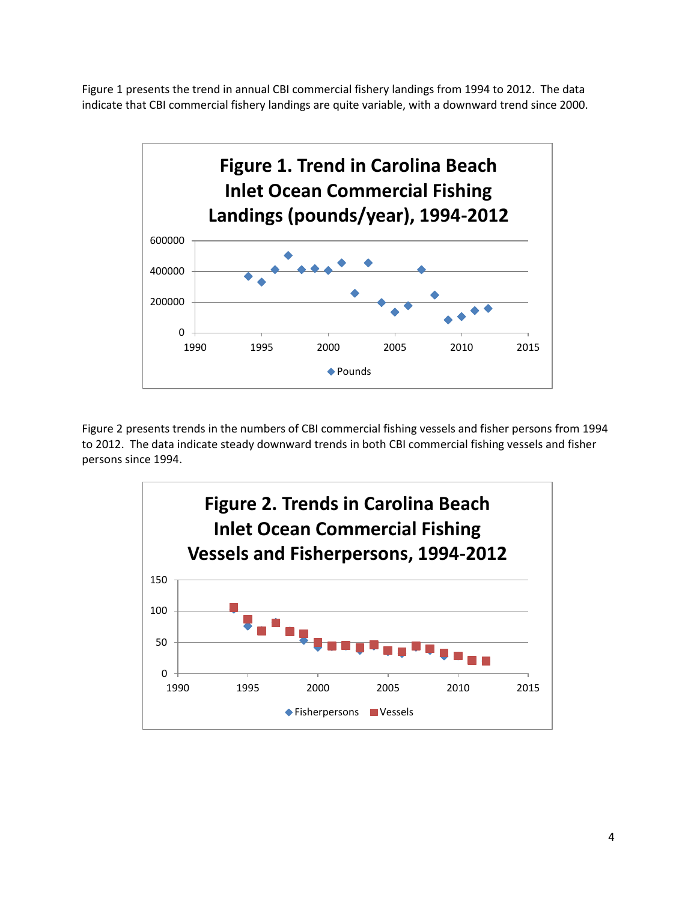Figure 1 presents the trend in annual CBI commercial fishery landings from 1994 to 2012. The data indicate that CBI commercial fishery landings are quite variable, with a downward trend since 2000.



Figure 2 presents trends in the numbers of CBI commercial fishing vessels and fisher persons from 1994 to 2012. The data indicate steady downward trends in both CBI commercial fishing vessels and fisher persons since 1994.

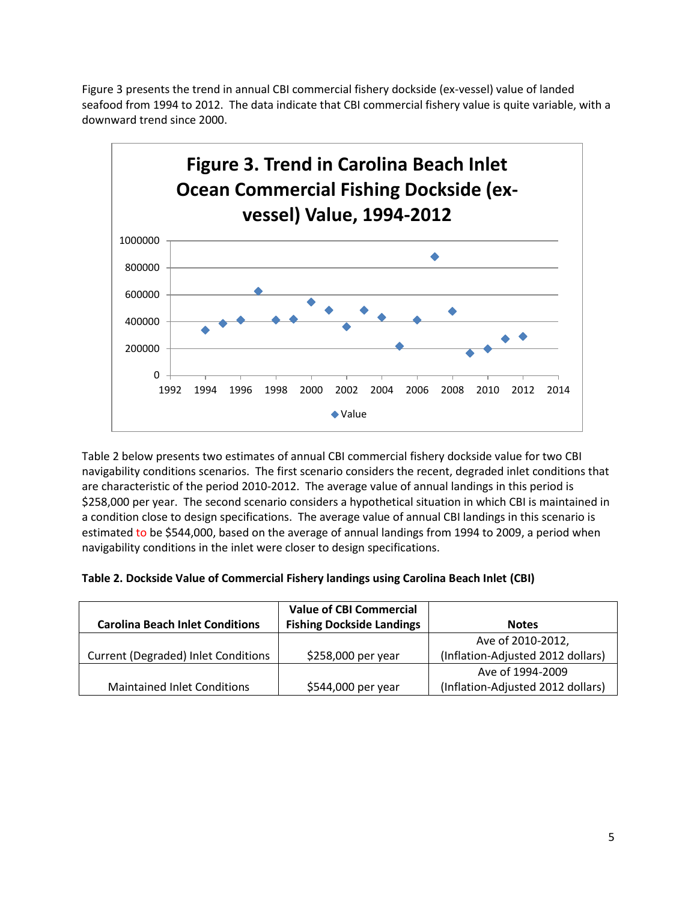Figure 3 presents the trend in annual CBI commercial fishery dockside (ex-vessel) value of landed seafood from 1994 to 2012. The data indicate that CBI commercial fishery value is quite variable, with a downward trend since 2000.



Table 2 below presents two estimates of annual CBI commercial fishery dockside value for two CBI navigability conditions scenarios. The first scenario considers the recent, degraded inlet conditions that are characteristic of the period 2010-2012. The average value of annual landings in this period is \$258,000 per year. The second scenario considers a hypothetical situation in which CBI is maintained in a condition close to design specifications. The average value of annual CBI landings in this scenario is estimated to be \$544,000, based on the average of annual landings from 1994 to 2009, a period when navigability conditions in the inlet were closer to design specifications.

| Table 2. Dockside Value of Commercial Fishery landings using Carolina Beach Inlet (CBI) |  |  |  |
|-----------------------------------------------------------------------------------------|--|--|--|
|-----------------------------------------------------------------------------------------|--|--|--|

| <b>Carolina Beach Inlet Conditions</b>     | <b>Value of CBI Commercial</b><br><b>Fishing Dockside Landings</b> | <b>Notes</b>                      |
|--------------------------------------------|--------------------------------------------------------------------|-----------------------------------|
|                                            |                                                                    | Ave of 2010-2012,                 |
| <b>Current (Degraded) Inlet Conditions</b> | \$258,000 per year                                                 | (Inflation-Adjusted 2012 dollars) |
|                                            |                                                                    | Ave of 1994-2009                  |
| <b>Maintained Inlet Conditions</b>         | \$544,000 per year                                                 | (Inflation-Adjusted 2012 dollars) |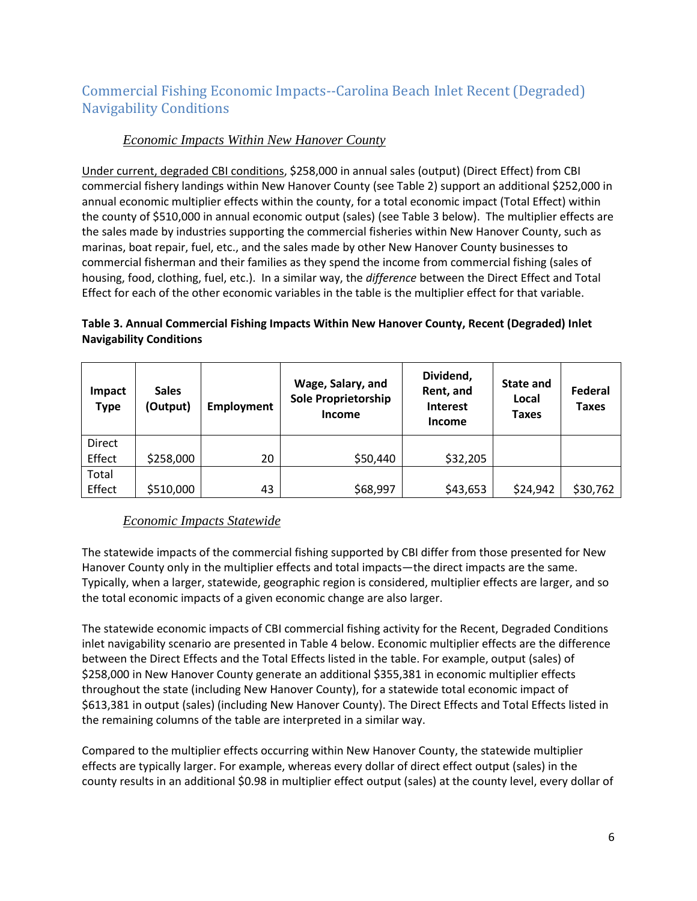## <span id="page-8-0"></span>Commercial Fishing Economic Impacts--Carolina Beach Inlet Recent (Degraded) Navigability Conditions

## *Economic Impacts Within New Hanover County*

<span id="page-8-1"></span>Under current, degraded CBI conditions, \$258,000 in annual sales (output) (Direct Effect) from CBI commercial fishery landings within New Hanover County (see Table 2) support an additional \$252,000 in annual economic multiplier effects within the county, for a total economic impact (Total Effect) within the county of \$510,000 in annual economic output (sales) (see Table 3 below). The multiplier effects are the sales made by industries supporting the commercial fisheries within New Hanover County, such as marinas, boat repair, fuel, etc., and the sales made by other New Hanover County businesses to commercial fisherman and their families as they spend the income from commercial fishing (sales of housing, food, clothing, fuel, etc.). In a similar way, the *difference* between the Direct Effect and Total Effect for each of the other economic variables in the table is the multiplier effect for that variable.

| Impact<br><b>Type</b> | <b>Sales</b><br>(Output) | <b>Employment</b> | Wage, Salary, and<br><b>Sole Proprietorship</b><br><b>Income</b> | Dividend,<br>Rent, and<br><b>Interest</b><br><b>Income</b> | <b>State and</b><br>Local<br>Taxes | Federal<br>Taxes |
|-----------------------|--------------------------|-------------------|------------------------------------------------------------------|------------------------------------------------------------|------------------------------------|------------------|
| <b>Direct</b>         |                          |                   |                                                                  |                                                            |                                    |                  |
| Effect                | \$258,000                | 20                | \$50,440                                                         | \$32,205                                                   |                                    |                  |
| Total                 |                          |                   |                                                                  |                                                            |                                    |                  |
| Effect                | \$510,000                | 43                | \$68,997                                                         | \$43,653                                                   | \$24,942                           | \$30,762         |

#### **Table 3. Annual Commercial Fishing Impacts Within New Hanover County, Recent (Degraded) Inlet Navigability Conditions**

## *Economic Impacts Statewide*

<span id="page-8-2"></span>The statewide impacts of the commercial fishing supported by CBI differ from those presented for New Hanover County only in the multiplier effects and total impacts—the direct impacts are the same. Typically, when a larger, statewide, geographic region is considered, multiplier effects are larger, and so the total economic impacts of a given economic change are also larger.

The statewide economic impacts of CBI commercial fishing activity for the Recent, Degraded Conditions inlet navigability scenario are presented in Table 4 below. Economic multiplier effects are the difference between the Direct Effects and the Total Effects listed in the table. For example, output (sales) of \$258,000 in New Hanover County generate an additional \$355,381 in economic multiplier effects throughout the state (including New Hanover County), for a statewide total economic impact of \$613,381 in output (sales) (including New Hanover County). The Direct Effects and Total Effects listed in the remaining columns of the table are interpreted in a similar way.

Compared to the multiplier effects occurring within New Hanover County, the statewide multiplier effects are typically larger. For example, whereas every dollar of direct effect output (sales) in the county results in an additional \$0.98 in multiplier effect output (sales) at the county level, every dollar of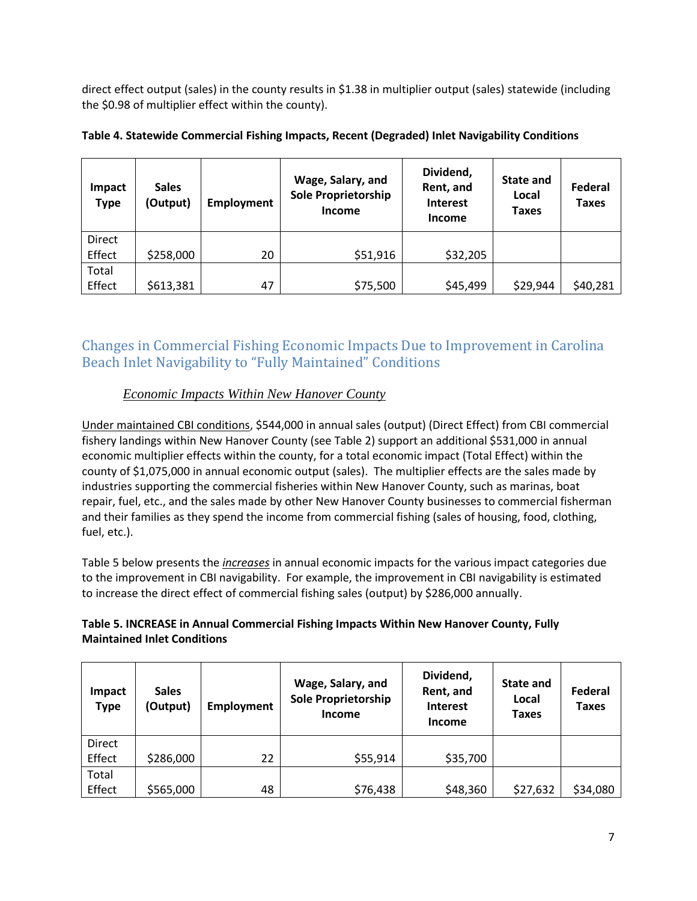direct effect output (sales) in the county results in \$1.38 in multiplier output (sales) statewide (including the \$0.98 of multiplier effect within the county).

| Impact<br><b>Type</b> | <b>Sales</b><br>(Output) | <b>Employment</b> | Wage, Salary, and<br><b>Sole Proprietorship</b><br><b>Income</b> | Dividend,<br>Rent, and<br><b>Interest</b><br><b>Income</b> | <b>State and</b><br>Local<br>Taxes | Federal<br><b>Taxes</b> |
|-----------------------|--------------------------|-------------------|------------------------------------------------------------------|------------------------------------------------------------|------------------------------------|-------------------------|
| <b>Direct</b>         |                          |                   |                                                                  |                                                            |                                    |                         |
| Effect                | \$258,000                | 20                | \$51,916                                                         | \$32,205                                                   |                                    |                         |
| Total                 |                          |                   |                                                                  |                                                            |                                    |                         |
| Effect                | \$613,381                | 47                | \$75,500                                                         | \$45,499                                                   | \$29,944                           | \$40,281                |

#### **Table 4. Statewide Commercial Fishing Impacts, Recent (Degraded) Inlet Navigability Conditions**

## <span id="page-9-0"></span>Changes in Commercial Fishing Economic Impacts Due to Improvement in Carolina Beach Inlet Navigability to "Fully Maintained" Conditions

### *Economic Impacts Within New Hanover County*

<span id="page-9-1"></span>Under maintained CBI conditions, \$544,000 in annual sales (output) (Direct Effect) from CBI commercial fishery landings within New Hanover County (see Table 2) support an additional \$531,000 in annual economic multiplier effects within the county, for a total economic impact (Total Effect) within the county of \$1,075,000 in annual economic output (sales). The multiplier effects are the sales made by industries supporting the commercial fisheries within New Hanover County, such as marinas, boat repair, fuel, etc., and the sales made by other New Hanover County businesses to commercial fisherman and their families as they spend the income from commercial fishing (sales of housing, food, clothing, fuel, etc.).

Table 5 below presents the *increases* in annual economic impacts for the various impact categories due to the improvement in CBI navigability. For example, the improvement in CBI navigability is estimated to increase the direct effect of commercial fishing sales (output) by \$286,000 annually.

#### **Table 5. INCREASE in Annual Commercial Fishing Impacts Within New Hanover County, Fully Maintained Inlet Conditions**

| Impact<br><b>Type</b> | <b>Sales</b><br>(Output) | <b>Employment</b> | Wage, Salary, and<br><b>Sole Proprietorship</b><br><b>Income</b> | Dividend,<br>Rent, and<br><b>Interest</b><br><b>Income</b> | State and<br>Local<br><b>Taxes</b> | Federal<br><b>Taxes</b> |
|-----------------------|--------------------------|-------------------|------------------------------------------------------------------|------------------------------------------------------------|------------------------------------|-------------------------|
| Direct<br>Effect      | \$286,000                | 22                | \$55,914                                                         | \$35,700                                                   |                                    |                         |
| Total<br>Effect       | \$565,000                | 48                | \$76,438                                                         | \$48,360                                                   | \$27,632                           | \$34,080                |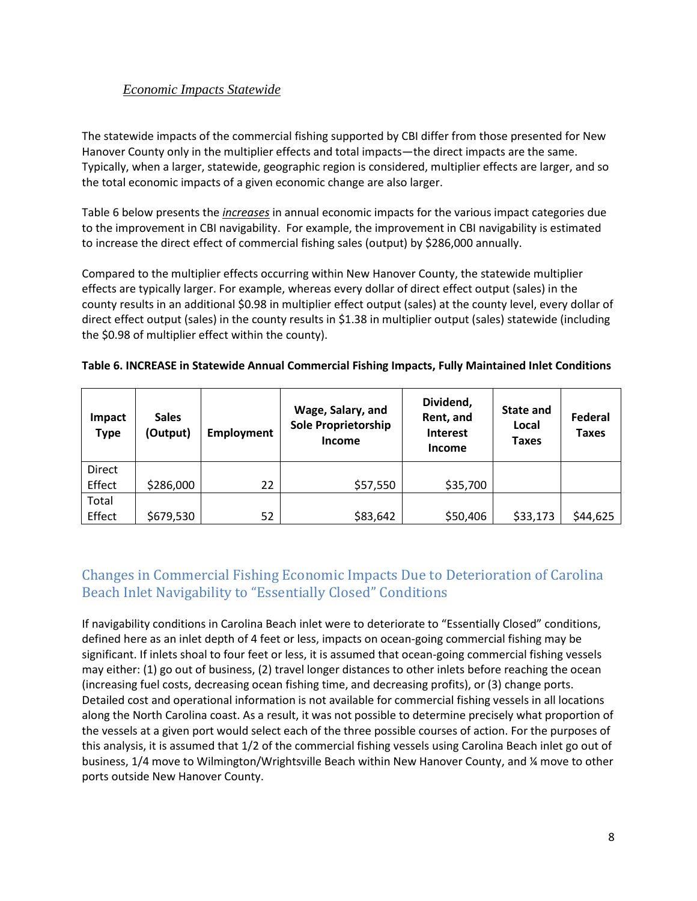<span id="page-10-0"></span>The statewide impacts of the commercial fishing supported by CBI differ from those presented for New Hanover County only in the multiplier effects and total impacts—the direct impacts are the same. Typically, when a larger, statewide, geographic region is considered, multiplier effects are larger, and so the total economic impacts of a given economic change are also larger.

Table 6 below presents the *increases* in annual economic impacts for the various impact categories due to the improvement in CBI navigability. For example, the improvement in CBI navigability is estimated to increase the direct effect of commercial fishing sales (output) by \$286,000 annually.

Compared to the multiplier effects occurring within New Hanover County, the statewide multiplier effects are typically larger. For example, whereas every dollar of direct effect output (sales) in the county results in an additional \$0.98 in multiplier effect output (sales) at the county level, every dollar of direct effect output (sales) in the county results in \$1.38 in multiplier output (sales) statewide (including the \$0.98 of multiplier effect within the county).

| Impact<br><b>Type</b> | <b>Sales</b><br>(Output) | Employment | Wage, Salary, and<br><b>Sole Proprietorship</b><br><b>Income</b> | Dividend,<br>Rent, and<br><b>Interest</b><br><b>Income</b> | <b>State and</b><br>Local<br>Taxes | Federal<br><b>Taxes</b> |
|-----------------------|--------------------------|------------|------------------------------------------------------------------|------------------------------------------------------------|------------------------------------|-------------------------|
| Direct<br>Effect      | \$286,000                | 22         | \$57,550                                                         | \$35,700                                                   |                                    |                         |
| Total<br>Effect       | \$679,530                | 52         | \$83,642                                                         | \$50,406                                                   | \$33,173                           | \$44,625                |

#### **Table 6. INCREASE in Statewide Annual Commercial Fishing Impacts, Fully Maintained Inlet Conditions**

## <span id="page-10-1"></span>Changes in Commercial Fishing Economic Impacts Due to Deterioration of Carolina Beach Inlet Navigability to "Essentially Closed" Conditions

If navigability conditions in Carolina Beach inlet were to deteriorate to "Essentially Closed" conditions, defined here as an inlet depth of 4 feet or less, impacts on ocean-going commercial fishing may be significant. If inlets shoal to four feet or less, it is assumed that ocean-going commercial fishing vessels may either: (1) go out of business, (2) travel longer distances to other inlets before reaching the ocean (increasing fuel costs, decreasing ocean fishing time, and decreasing profits), or (3) change ports. Detailed cost and operational information is not available for commercial fishing vessels in all locations along the North Carolina coast. As a result, it was not possible to determine precisely what proportion of the vessels at a given port would select each of the three possible courses of action. For the purposes of this analysis, it is assumed that 1/2 of the commercial fishing vessels using Carolina Beach inlet go out of business, 1/4 move to Wilmington/Wrightsville Beach within New Hanover County, and ¼ move to other ports outside New Hanover County.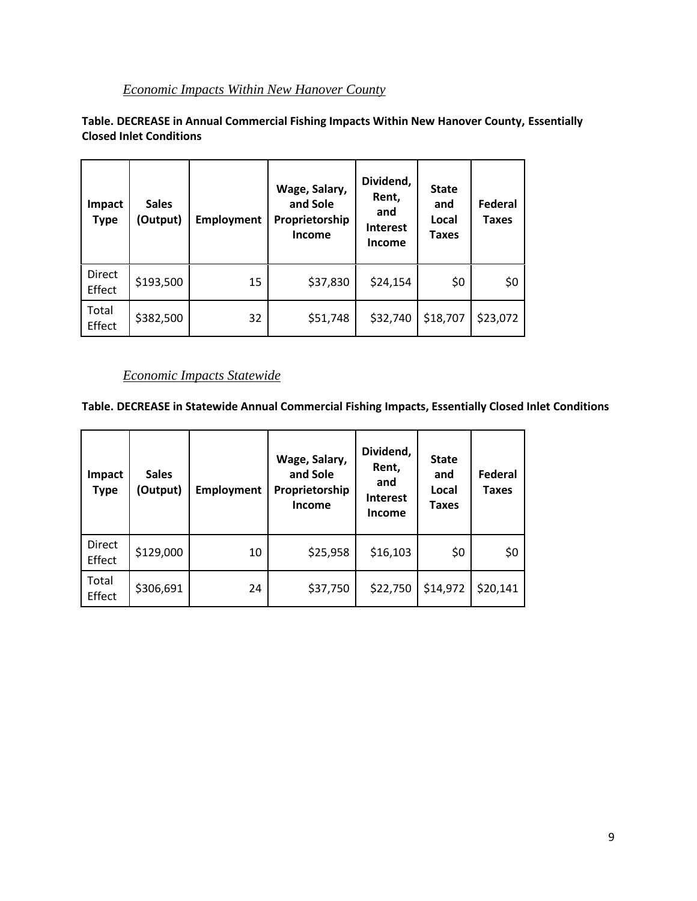## *Economic Impacts Within New Hanover County*

<span id="page-11-0"></span>**Table. DECREASE in Annual Commercial Fishing Impacts Within New Hanover County, Essentially Closed Inlet Conditions**

| Impact<br><b>Type</b> | <b>Sales</b><br>(Output) | <b>Employment</b> | Wage, Salary,<br>and Sole<br>Proprietorship<br>Income | Dividend,<br>Rent,<br>and<br><b>Interest</b><br><b>Income</b> | <b>State</b><br>and<br>Local<br>Taxes | <b>Federal</b><br><b>Taxes</b> |
|-----------------------|--------------------------|-------------------|-------------------------------------------------------|---------------------------------------------------------------|---------------------------------------|--------------------------------|
| Direct<br>Effect      | \$193,500                | 15                | \$37,830                                              | \$24,154                                                      | \$0                                   | \$0                            |
| Total<br>Effect       | \$382,500                | 32                | \$51,748                                              | \$32,740                                                      | \$18,707                              | \$23,072                       |

### *Economic Impacts Statewide*

<span id="page-11-1"></span>**Table. DECREASE in Statewide Annual Commercial Fishing Impacts, Essentially Closed Inlet Conditions**

| <b>Impact</b><br><b>Type</b> | <b>Sales</b><br>(Output) | <b>Employment</b> | Wage, Salary,<br>and Sole<br>Proprietorship<br>Income | Dividend,<br>Rent,<br>and<br><b>Interest</b><br>Income | <b>State</b><br>and<br>Local<br><b>Taxes</b> | Federal<br><b>Taxes</b> |
|------------------------------|--------------------------|-------------------|-------------------------------------------------------|--------------------------------------------------------|----------------------------------------------|-------------------------|
| Direct<br>Effect             | \$129,000                | 10                | \$25,958                                              | \$16,103                                               | \$0                                          | \$0                     |
| Total<br>Effect              | \$306,691                | 24                | \$37,750                                              | \$22,750                                               | \$14,972                                     | \$20,141                |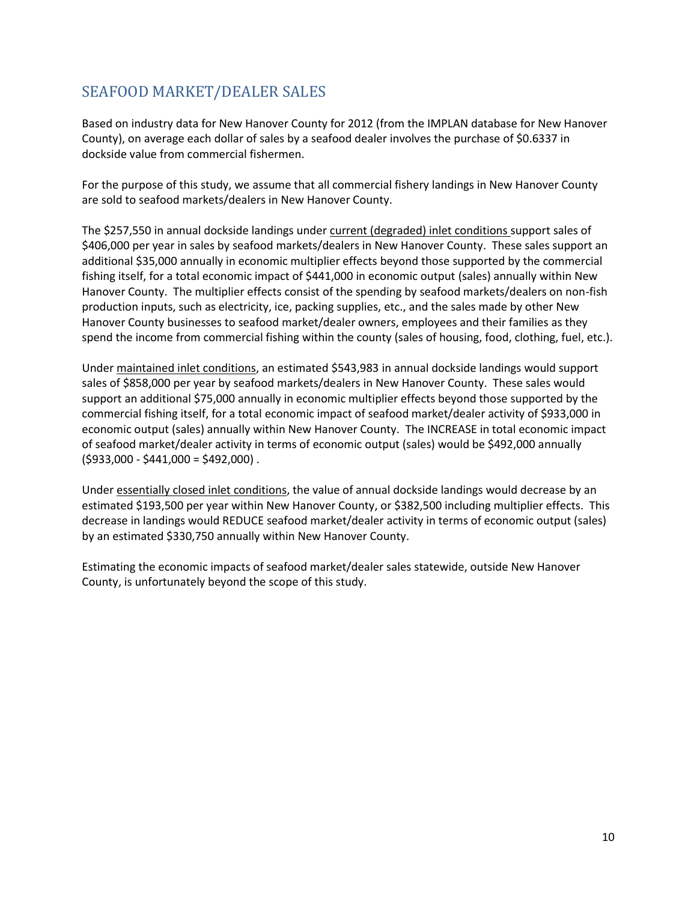## <span id="page-12-0"></span>SEAFOOD MARKET/DEALER SALES

Based on industry data for New Hanover County for 2012 (from the IMPLAN database for New Hanover County), on average each dollar of sales by a seafood dealer involves the purchase of \$0.6337 in dockside value from commercial fishermen.

For the purpose of this study, we assume that all commercial fishery landings in New Hanover County are sold to seafood markets/dealers in New Hanover County.

The \$257,550 in annual dockside landings under current (degraded) inlet conditions support sales of \$406,000 per year in sales by seafood markets/dealers in New Hanover County. These sales support an additional \$35,000 annually in economic multiplier effects beyond those supported by the commercial fishing itself, for a total economic impact of \$441,000 in economic output (sales) annually within New Hanover County. The multiplier effects consist of the spending by seafood markets/dealers on non-fish production inputs, such as electricity, ice, packing supplies, etc., and the sales made by other New Hanover County businesses to seafood market/dealer owners, employees and their families as they spend the income from commercial fishing within the county (sales of housing, food, clothing, fuel, etc.).

Under maintained inlet conditions, an estimated \$543,983 in annual dockside landings would support sales of \$858,000 per year by seafood markets/dealers in New Hanover County. These sales would support an additional \$75,000 annually in economic multiplier effects beyond those supported by the commercial fishing itself, for a total economic impact of seafood market/dealer activity of \$933,000 in economic output (sales) annually within New Hanover County. The INCREASE in total economic impact of seafood market/dealer activity in terms of economic output (sales) would be \$492,000 annually  $(5933,000 - 5441,000 - 5492,000)$ .

Under essentially closed inlet conditions, the value of annual dockside landings would decrease by an estimated \$193,500 per year within New Hanover County, or \$382,500 including multiplier effects. This decrease in landings would REDUCE seafood market/dealer activity in terms of economic output (sales) by an estimated \$330,750 annually within New Hanover County.

Estimating the economic impacts of seafood market/dealer sales statewide, outside New Hanover County, is unfortunately beyond the scope of this study.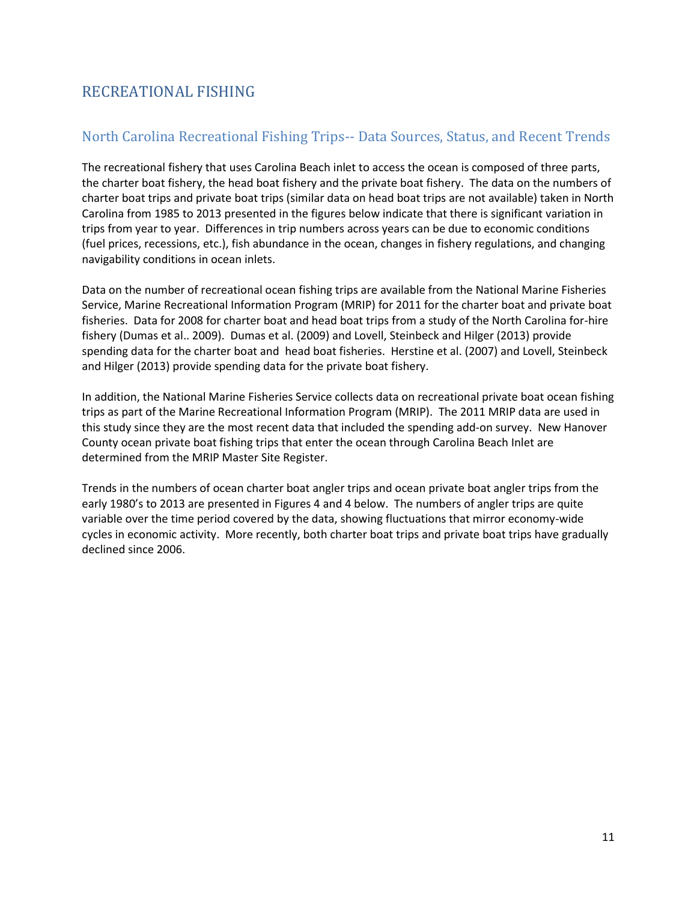## <span id="page-13-0"></span>RECREATIONAL FISHING

## <span id="page-13-1"></span>North Carolina Recreational Fishing Trips-- Data Sources, Status, and Recent Trends

The recreational fishery that uses Carolina Beach inlet to access the ocean is composed of three parts, the charter boat fishery, the head boat fishery and the private boat fishery. The data on the numbers of charter boat trips and private boat trips (similar data on head boat trips are not available) taken in North Carolina from 1985 to 2013 presented in the figures below indicate that there is significant variation in trips from year to year. Differences in trip numbers across years can be due to economic conditions (fuel prices, recessions, etc.), fish abundance in the ocean, changes in fishery regulations, and changing navigability conditions in ocean inlets.

Data on the number of recreational ocean fishing trips are available from the National Marine Fisheries Service, Marine Recreational Information Program (MRIP) for 2011 for the charter boat and private boat fisheries. Data for 2008 for charter boat and head boat trips from a study of the North Carolina for-hire fishery (Dumas et al.. 2009). Dumas et al. (2009) and Lovell, Steinbeck and Hilger (2013) provide spending data for the charter boat and head boat fisheries. Herstine et al. (2007) and Lovell, Steinbeck and Hilger (2013) provide spending data for the private boat fishery.

In addition, the National Marine Fisheries Service collects data on recreational private boat ocean fishing trips as part of the Marine Recreational Information Program (MRIP). The 2011 MRIP data are used in this study since they are the most recent data that included the spending add-on survey. New Hanover County ocean private boat fishing trips that enter the ocean through Carolina Beach Inlet are determined from the MRIP Master Site Register.

Trends in the numbers of ocean charter boat angler trips and ocean private boat angler trips from the early 1980's to 2013 are presented in Figures 4 and 4 below. The numbers of angler trips are quite variable over the time period covered by the data, showing fluctuations that mirror economy-wide cycles in economic activity. More recently, both charter boat trips and private boat trips have gradually declined since 2006.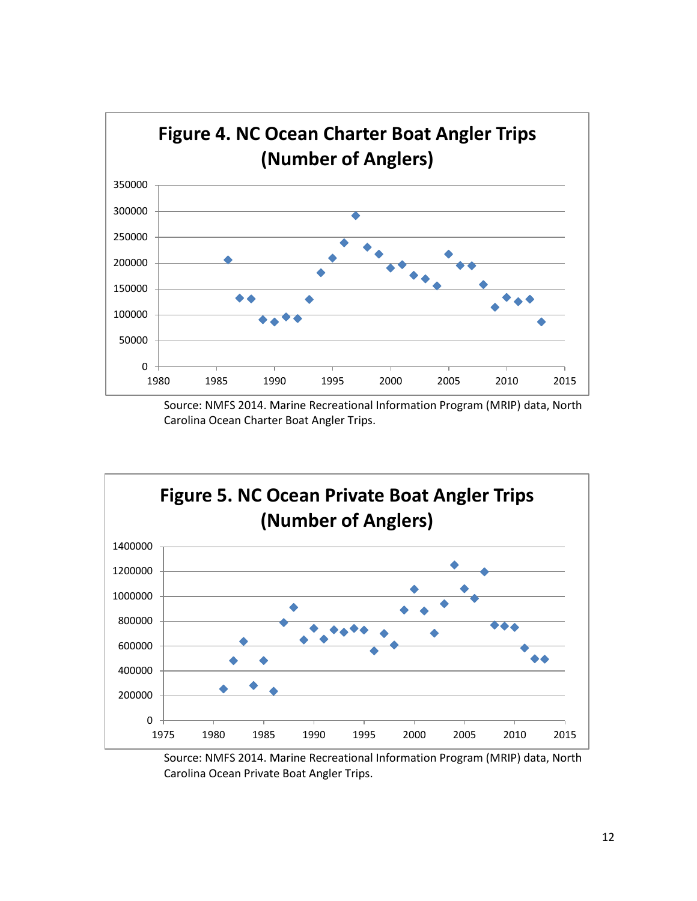

Source: NMFS 2014. Marine Recreational Information Program (MRIP) data, North Carolina Ocean Charter Boat Angler Trips.



Source: NMFS 2014. Marine Recreational Information Program (MRIP) data, North Carolina Ocean Private Boat Angler Trips.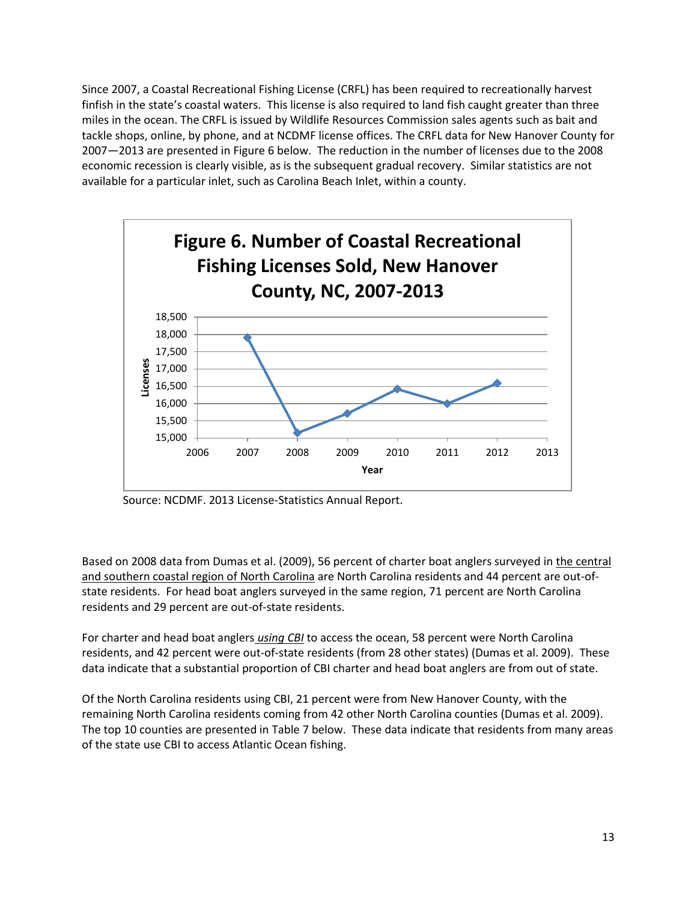Since 2007, a Coastal Recreational Fishing License (CRFL) has been required to recreationally harvest finfish in the state's coastal waters. This license is also required to land fish caught greater than three miles in the ocean. The CRFL is issued by Wildlife Resources Commission sales agents such as bait and tackle shops, online, by phone, and at NCDMF license offices. The CRFL data for New Hanover County for 2007—2013 are presented in Figure 6 below. The reduction in the number of licenses due to the 2008 economic recession is clearly visible, as is the subsequent gradual recovery. Similar statistics are not available for a particular inlet, such as Carolina Beach Inlet, within a county.



Source: NCDMF. 2013 License-Statistics Annual Report.

Based on 2008 data from Dumas et al. (2009), 56 percent of charter boat anglers surveyed in the central and southern coastal region of North Carolina are North Carolina residents and 44 percent are out-ofstate residents. For head boat anglers surveyed in the same region, 71 percent are North Carolina residents and 29 percent are out-of-state residents.

For charter and head boat anglers *using CBI* to access the ocean, 58 percent were North Carolina residents, and 42 percent were out-of-state residents (from 28 other states) (Dumas et al. 2009). These data indicate that a substantial proportion of CBI charter and head boat anglers are from out of state.

Of the North Carolina residents using CBI, 21 percent were from New Hanover County, with the remaining North Carolina residents coming from 42 other North Carolina counties (Dumas et al. 2009). The top 10 counties are presented in Table 7 below. These data indicate that residents from many areas of the state use CBI to access Atlantic Ocean fishing.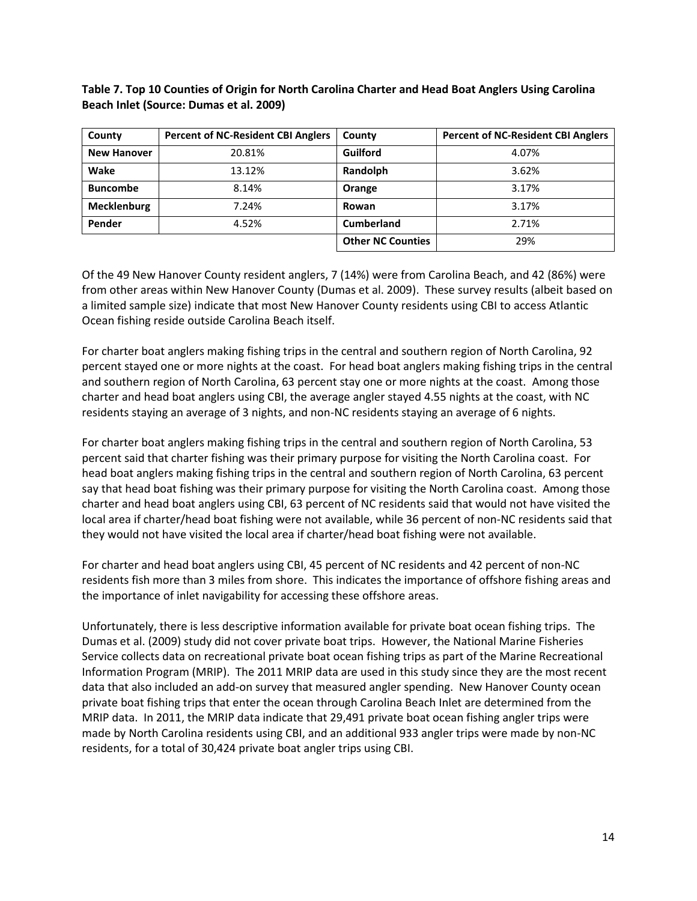#### **Table 7. Top 10 Counties of Origin for North Carolina Charter and Head Boat Anglers Using Carolina Beach Inlet (Source: Dumas et al. 2009)**

| County             | <b>Percent of NC-Resident CBI Anglers</b> | County                   | <b>Percent of NC-Resident CBI Anglers</b> |
|--------------------|-------------------------------------------|--------------------------|-------------------------------------------|
| <b>New Hanover</b> | 20.81%                                    | Guilford                 | 4.07%                                     |
| Wake               | 13.12%                                    | Randolph                 | 3.62%                                     |
| <b>Buncombe</b>    | 8.14%                                     | Orange                   | 3.17%                                     |
| Mecklenburg        | 7.24%                                     | Rowan                    | 3.17%                                     |
| Pender             | 4.52%                                     | <b>Cumberland</b>        | 2.71%                                     |
|                    |                                           | <b>Other NC Counties</b> | 29%                                       |

Of the 49 New Hanover County resident anglers, 7 (14%) were from Carolina Beach, and 42 (86%) were from other areas within New Hanover County (Dumas et al. 2009). These survey results (albeit based on a limited sample size) indicate that most New Hanover County residents using CBI to access Atlantic Ocean fishing reside outside Carolina Beach itself.

For charter boat anglers making fishing trips in the central and southern region of North Carolina, 92 percent stayed one or more nights at the coast. For head boat anglers making fishing trips in the central and southern region of North Carolina, 63 percent stay one or more nights at the coast. Among those charter and head boat anglers using CBI, the average angler stayed 4.55 nights at the coast, with NC residents staying an average of 3 nights, and non-NC residents staying an average of 6 nights.

For charter boat anglers making fishing trips in the central and southern region of North Carolina, 53 percent said that charter fishing was their primary purpose for visiting the North Carolina coast. For head boat anglers making fishing trips in the central and southern region of North Carolina, 63 percent say that head boat fishing was their primary purpose for visiting the North Carolina coast. Among those charter and head boat anglers using CBI, 63 percent of NC residents said that would not have visited the local area if charter/head boat fishing were not available, while 36 percent of non-NC residents said that they would not have visited the local area if charter/head boat fishing were not available.

For charter and head boat anglers using CBI, 45 percent of NC residents and 42 percent of non-NC residents fish more than 3 miles from shore. This indicates the importance of offshore fishing areas and the importance of inlet navigability for accessing these offshore areas.

Unfortunately, there is less descriptive information available for private boat ocean fishing trips. The Dumas et al. (2009) study did not cover private boat trips. However, the National Marine Fisheries Service collects data on recreational private boat ocean fishing trips as part of the Marine Recreational Information Program (MRIP). The 2011 MRIP data are used in this study since they are the most recent data that also included an add-on survey that measured angler spending. New Hanover County ocean private boat fishing trips that enter the ocean through Carolina Beach Inlet are determined from the MRIP data. In 2011, the MRIP data indicate that 29,491 private boat ocean fishing angler trips were made by North Carolina residents using CBI, and an additional 933 angler trips were made by non-NC residents, for a total of 30,424 private boat angler trips using CBI.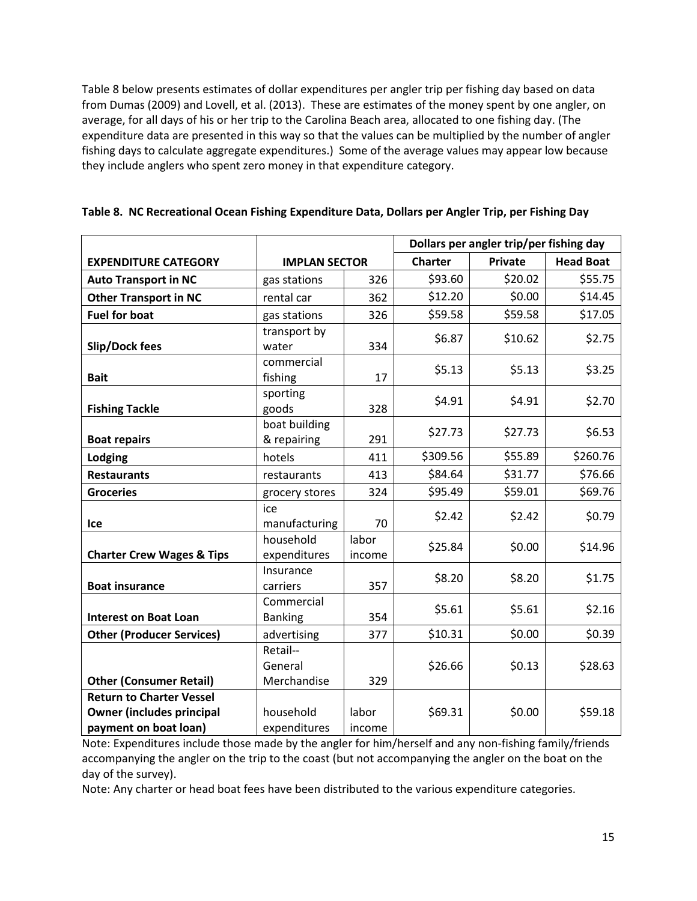Table 8 below presents estimates of dollar expenditures per angler trip per fishing day based on data from Dumas (2009) and Lovell, et al. (2013). These are estimates of the money spent by one angler, on average, for all days of his or her trip to the Carolina Beach area, allocated to one fishing day. (The expenditure data are presented in this way so that the values can be multiplied by the number of angler fishing days to calculate aggregate expenditures.) Some of the average values may appear low because they include anglers who spent zero money in that expenditure category.

|                                      |                       |        |                | Dollars per angler trip/per fishing day |                  |
|--------------------------------------|-----------------------|--------|----------------|-----------------------------------------|------------------|
| <b>EXPENDITURE CATEGORY</b>          | <b>IMPLAN SECTOR</b>  |        | <b>Charter</b> | <b>Private</b>                          | <b>Head Boat</b> |
| <b>Auto Transport in NC</b>          | gas stations          | 326    | \$93.60        | \$20.02                                 | \$55.75          |
| <b>Other Transport in NC</b>         | rental car            | 362    | \$12.20        | \$0.00                                  | \$14.45          |
| <b>Fuel for boat</b>                 | gas stations          | 326    | \$59.58        | \$59.58                                 | \$17.05          |
|                                      | transport by          |        | \$6.87         | \$10.62                                 | \$2.75           |
| Slip/Dock fees                       | water                 | 334    |                |                                         |                  |
|                                      | commercial            |        | \$5.13         | \$5.13                                  | \$3.25           |
| <b>Bait</b>                          | fishing               | 17     |                |                                         |                  |
| <b>Fishing Tackle</b>                | sporting<br>goods     | 328    | \$4.91         | \$4.91                                  | \$2.70           |
|                                      | boat building         |        | \$27.73        | \$27.73                                 | \$6.53           |
| <b>Boat repairs</b>                  | & repairing           | 291    |                |                                         |                  |
| Lodging                              | hotels                | 411    | \$309.56       | \$55.89                                 | \$260.76         |
| <b>Restaurants</b>                   | restaurants           | 413    | \$84.64        | \$31.77                                 | \$76.66          |
| <b>Groceries</b>                     | grocery stores        | 324    | \$95.49        | \$59.01                                 | \$69.76          |
|                                      | ice                   |        | \$2.42         | \$2.42                                  | \$0.79           |
| Ice                                  | manufacturing         | 70     |                |                                         |                  |
|                                      | household             | labor  | \$25.84        | \$0.00                                  | \$14.96          |
| <b>Charter Crew Wages &amp; Tips</b> | expenditures          | income |                |                                         |                  |
| <b>Boat insurance</b>                | Insurance<br>carriers | 357    | \$8.20         | \$8.20                                  | \$1.75           |
|                                      | Commercial            |        |                |                                         |                  |
| <b>Interest on Boat Loan</b>         | <b>Banking</b>        | 354    | \$5.61         | \$5.61                                  | \$2.16           |
| <b>Other (Producer Services)</b>     | advertising           | 377    | \$10.31        | \$0.00                                  | \$0.39           |
|                                      | Retail--              |        |                |                                         |                  |
|                                      | General               |        | \$26.66        | \$0.13                                  | \$28.63          |
| <b>Other (Consumer Retail)</b>       | Merchandise           | 329    |                |                                         |                  |
| <b>Return to Charter Vessel</b>      |                       |        |                |                                         |                  |
| <b>Owner (includes principal</b>     | household             | labor  | \$69.31        | \$0.00                                  | \$59.18          |
| payment on boat loan)                | expenditures          | income |                |                                         |                  |

|  |  |  |  |  |  | Table 8. NC Recreational Ocean Fishing Expenditure Data, Dollars per Angler Trip, per Fishing Day |
|--|--|--|--|--|--|---------------------------------------------------------------------------------------------------|
|--|--|--|--|--|--|---------------------------------------------------------------------------------------------------|

Note: Expenditures include those made by the angler for him/herself and any non-fishing family/friends accompanying the angler on the trip to the coast (but not accompanying the angler on the boat on the day of the survey).

Note: Any charter or head boat fees have been distributed to the various expenditure categories.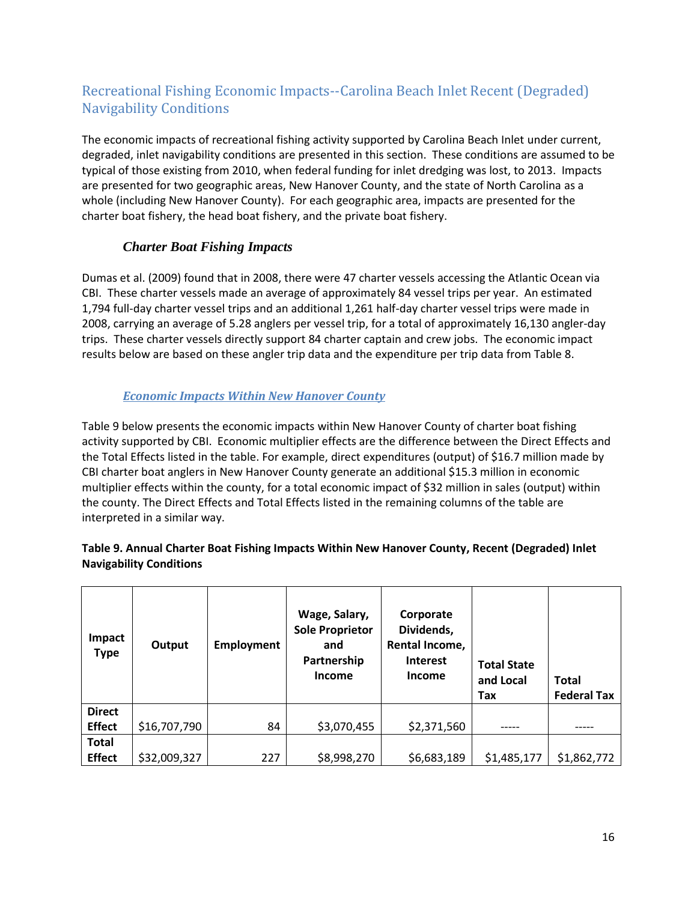## <span id="page-18-0"></span>Recreational Fishing Economic Impacts--Carolina Beach Inlet Recent (Degraded) Navigability Conditions

The economic impacts of recreational fishing activity supported by Carolina Beach Inlet under current, degraded, inlet navigability conditions are presented in this section. These conditions are assumed to be typical of those existing from 2010, when federal funding for inlet dredging was lost, to 2013. Impacts are presented for two geographic areas, New Hanover County, and the state of North Carolina as a whole (including New Hanover County). For each geographic area, impacts are presented for the charter boat fishery, the head boat fishery, and the private boat fishery.

## *Charter Boat Fishing Impacts*

<span id="page-18-1"></span>Dumas et al. (2009) found that in 2008, there were 47 charter vessels accessing the Atlantic Ocean via CBI. These charter vessels made an average of approximately 84 vessel trips per year. An estimated 1,794 full-day charter vessel trips and an additional 1,261 half-day charter vessel trips were made in 2008, carrying an average of 5.28 anglers per vessel trip, for a total of approximately 16,130 angler-day trips. These charter vessels directly support 84 charter captain and crew jobs. The economic impact results below are based on these angler trip data and the expenditure per trip data from Table 8.

### *Economic Impacts Within New Hanover County*

<span id="page-18-2"></span>Table 9 below presents the economic impacts within New Hanover County of charter boat fishing activity supported by CBI. Economic multiplier effects are the difference between the Direct Effects and the Total Effects listed in the table. For example, direct expenditures (output) of \$16.7 million made by CBI charter boat anglers in New Hanover County generate an additional \$15.3 million in economic multiplier effects within the county, for a total economic impact of \$32 million in sales (output) within the county. The Direct Effects and Total Effects listed in the remaining columns of the table are interpreted in a similar way.

### **Table 9. Annual Charter Boat Fishing Impacts Within New Hanover County, Recent (Degraded) Inlet Navigability Conditions**

| Impact<br><b>Type</b> | Output       | <b>Employment</b> | Wage, Salary,<br><b>Sole Proprietor</b><br>and<br>Partnership<br><b>Income</b> | Corporate<br>Dividends,<br>Rental Income,<br><b>Interest</b><br>Income | <b>Total State</b><br>and Local<br>Tax | <b>Total</b><br><b>Federal Tax</b> |
|-----------------------|--------------|-------------------|--------------------------------------------------------------------------------|------------------------------------------------------------------------|----------------------------------------|------------------------------------|
| <b>Direct</b>         |              |                   |                                                                                |                                                                        |                                        |                                    |
| <b>Effect</b>         | \$16,707,790 | 84                | \$3,070,455                                                                    | \$2,371,560                                                            |                                        |                                    |
| <b>Total</b>          |              |                   |                                                                                |                                                                        |                                        |                                    |
| <b>Effect</b>         | \$32,009,327 | 227               | \$8,998,270                                                                    | \$6,683,189                                                            | \$1,485,177                            | \$1,862,772                        |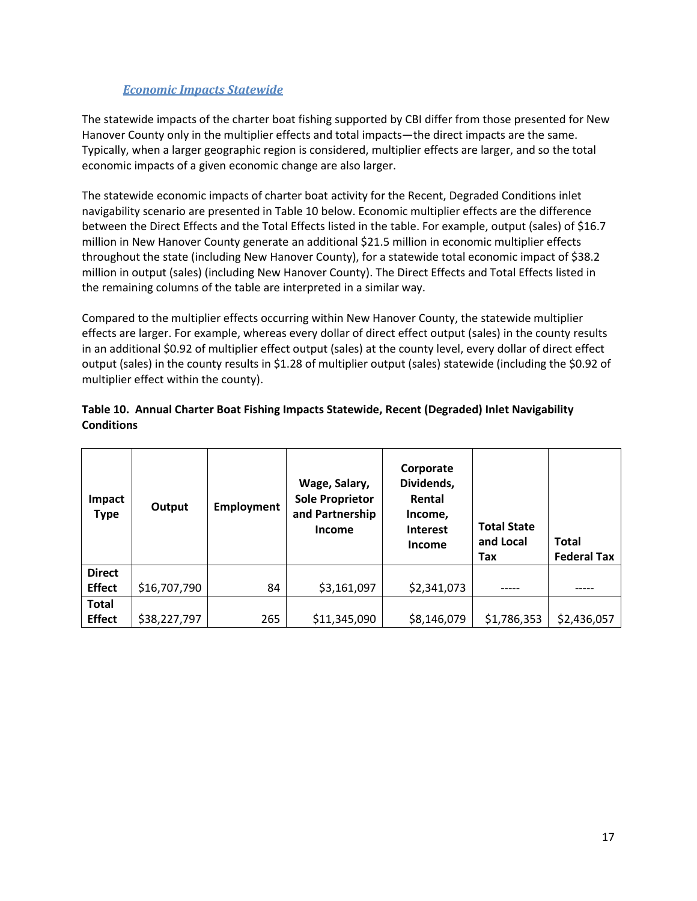<span id="page-19-0"></span>The statewide impacts of the charter boat fishing supported by CBI differ from those presented for New Hanover County only in the multiplier effects and total impacts—the direct impacts are the same. Typically, when a larger geographic region is considered, multiplier effects are larger, and so the total economic impacts of a given economic change are also larger.

The statewide economic impacts of charter boat activity for the Recent, Degraded Conditions inlet navigability scenario are presented in Table 10 below. Economic multiplier effects are the difference between the Direct Effects and the Total Effects listed in the table. For example, output (sales) of \$16.7 million in New Hanover County generate an additional \$21.5 million in economic multiplier effects throughout the state (including New Hanover County), for a statewide total economic impact of \$38.2 million in output (sales) (including New Hanover County). The Direct Effects and Total Effects listed in the remaining columns of the table are interpreted in a similar way.

Compared to the multiplier effects occurring within New Hanover County, the statewide multiplier effects are larger. For example, whereas every dollar of direct effect output (sales) in the county results in an additional \$0.92 of multiplier effect output (sales) at the county level, every dollar of direct effect output (sales) in the county results in \$1.28 of multiplier output (sales) statewide (including the \$0.92 of multiplier effect within the county).

#### **Table 10. Annual Charter Boat Fishing Impacts Statewide, Recent (Degraded) Inlet Navigability Conditions**

| Impact<br><b>Type</b> | Output       | Employment | Wage, Salary,<br><b>Sole Proprietor</b><br>and Partnership<br><b>Income</b> | Corporate<br>Dividends,<br>Rental<br>Income,<br><b>Interest</b><br><b>Income</b> | <b>Total State</b><br>and Local<br>Tax | <b>Total</b><br><b>Federal Tax</b> |
|-----------------------|--------------|------------|-----------------------------------------------------------------------------|----------------------------------------------------------------------------------|----------------------------------------|------------------------------------|
| <b>Direct</b>         |              |            |                                                                             |                                                                                  |                                        |                                    |
| <b>Effect</b>         | \$16,707,790 | 84         | \$3,161,097                                                                 | \$2,341,073                                                                      |                                        |                                    |
| <b>Total</b>          |              |            |                                                                             |                                                                                  |                                        |                                    |
| <b>Effect</b>         | \$38,227,797 | 265        | \$11,345,090                                                                | \$8,146,079                                                                      | \$1,786,353                            | \$2,436,057                        |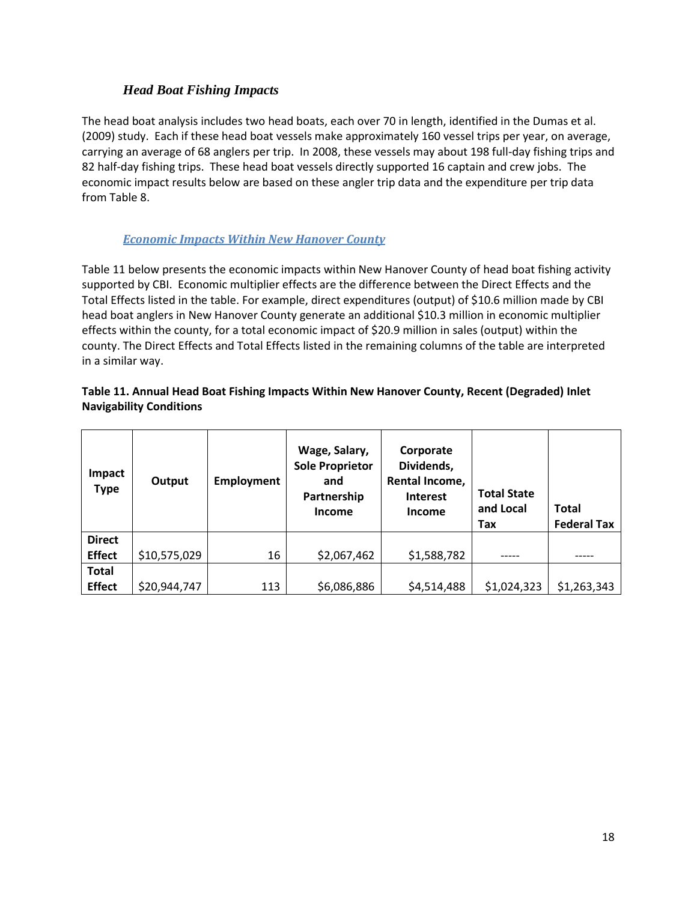### *Head Boat Fishing Impacts*

<span id="page-20-0"></span>The head boat analysis includes two head boats, each over 70 in length, identified in the Dumas et al. (2009) study. Each if these head boat vessels make approximately 160 vessel trips per year, on average, carrying an average of 68 anglers per trip. In 2008, these vessels may about 198 full-day fishing trips and 82 half-day fishing trips. These head boat vessels directly supported 16 captain and crew jobs. The economic impact results below are based on these angler trip data and the expenditure per trip data from Table 8.

### *Economic Impacts Within New Hanover County*

<span id="page-20-1"></span>Table 11 below presents the economic impacts within New Hanover County of head boat fishing activity supported by CBI. Economic multiplier effects are the difference between the Direct Effects and the Total Effects listed in the table. For example, direct expenditures (output) of \$10.6 million made by CBI head boat anglers in New Hanover County generate an additional \$10.3 million in economic multiplier effects within the county, for a total economic impact of \$20.9 million in sales (output) within the county. The Direct Effects and Total Effects listed in the remaining columns of the table are interpreted in a similar way.

#### **Table 11. Annual Head Boat Fishing Impacts Within New Hanover County, Recent (Degraded) Inlet Navigability Conditions**

| Impact<br><b>Type</b> | Output       | <b>Employment</b> | Wage, Salary,<br><b>Sole Proprietor</b><br>and<br>Partnership<br>Income | Corporate<br>Dividends,<br>Rental Income,<br><b>Interest</b><br><b>Income</b> | <b>Total State</b><br>and Local<br>Tax | <b>Total</b><br><b>Federal Tax</b> |
|-----------------------|--------------|-------------------|-------------------------------------------------------------------------|-------------------------------------------------------------------------------|----------------------------------------|------------------------------------|
| <b>Direct</b>         |              |                   |                                                                         |                                                                               |                                        |                                    |
| <b>Effect</b>         | \$10,575,029 | 16                | \$2,067,462                                                             | \$1,588,782                                                                   |                                        |                                    |
| <b>Total</b>          |              |                   |                                                                         |                                                                               |                                        |                                    |
| <b>Effect</b>         | \$20,944,747 | 113               | \$6,086,886                                                             | \$4,514,488                                                                   | \$1,024,323                            | \$1,263,343                        |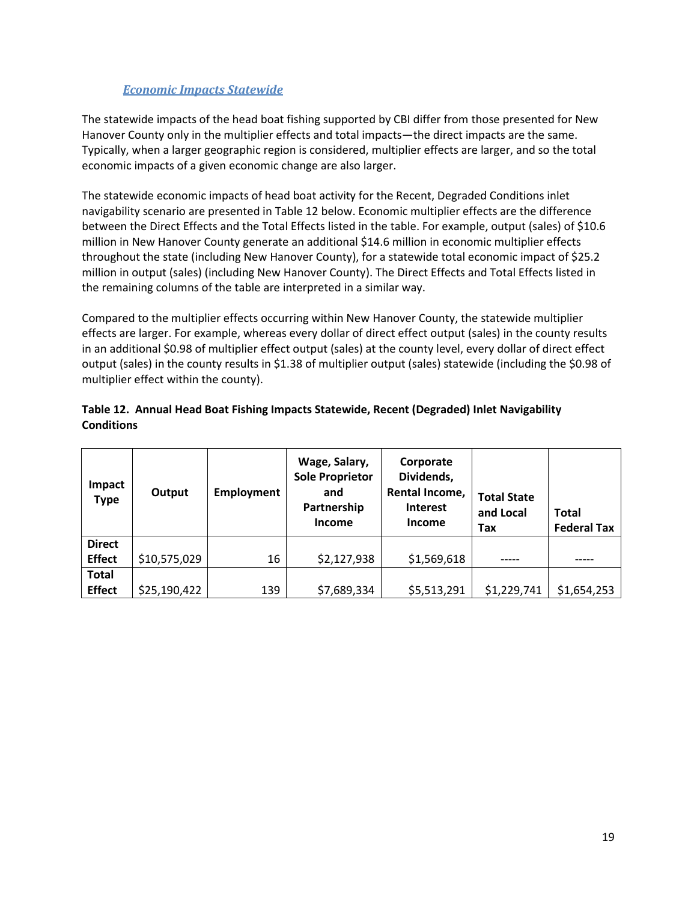<span id="page-21-0"></span>The statewide impacts of the head boat fishing supported by CBI differ from those presented for New Hanover County only in the multiplier effects and total impacts—the direct impacts are the same. Typically, when a larger geographic region is considered, multiplier effects are larger, and so the total economic impacts of a given economic change are also larger.

The statewide economic impacts of head boat activity for the Recent, Degraded Conditions inlet navigability scenario are presented in Table 12 below. Economic multiplier effects are the difference between the Direct Effects and the Total Effects listed in the table. For example, output (sales) of \$10.6 million in New Hanover County generate an additional \$14.6 million in economic multiplier effects throughout the state (including New Hanover County), for a statewide total economic impact of \$25.2 million in output (sales) (including New Hanover County). The Direct Effects and Total Effects listed in the remaining columns of the table are interpreted in a similar way.

Compared to the multiplier effects occurring within New Hanover County, the statewide multiplier effects are larger. For example, whereas every dollar of direct effect output (sales) in the county results in an additional \$0.98 of multiplier effect output (sales) at the county level, every dollar of direct effect output (sales) in the county results in \$1.38 of multiplier output (sales) statewide (including the \$0.98 of multiplier effect within the county).

|                   | Table 12. Annual Head Boat Fishing Impacts Statewide, Recent (Degraded) Inlet Navigability |  |
|-------------------|--------------------------------------------------------------------------------------------|--|
| <b>Conditions</b> |                                                                                            |  |

| Impact<br><b>Type</b> | Output       | <b>Employment</b> | Wage, Salary,<br><b>Sole Proprietor</b><br>and<br>Partnership<br><b>Income</b> | Corporate<br>Dividends,<br>Rental Income,<br><b>Interest</b><br><b>Income</b> | <b>Total State</b><br>and Local<br>Tax | <b>Total</b><br><b>Federal Tax</b> |
|-----------------------|--------------|-------------------|--------------------------------------------------------------------------------|-------------------------------------------------------------------------------|----------------------------------------|------------------------------------|
| <b>Direct</b>         |              |                   |                                                                                |                                                                               |                                        |                                    |
| <b>Effect</b>         | \$10,575,029 | 16                | \$2,127,938                                                                    | \$1,569,618                                                                   |                                        |                                    |
| <b>Total</b>          |              |                   |                                                                                |                                                                               |                                        |                                    |
| <b>Effect</b>         | \$25,190,422 | 139               | \$7,689,334                                                                    | \$5,513,291                                                                   | \$1,229,741                            | \$1,654,253                        |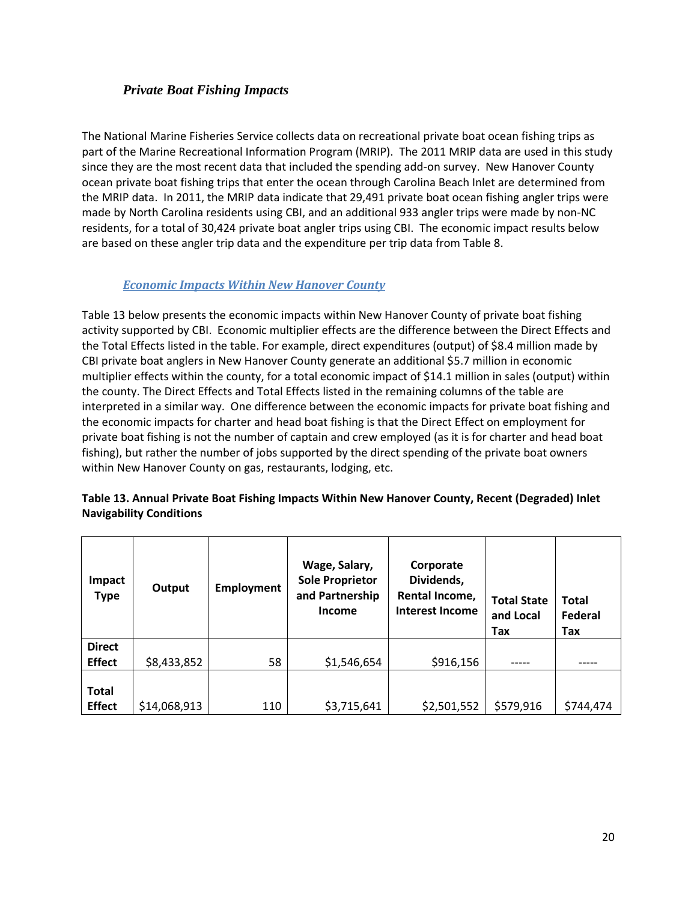#### <span id="page-22-0"></span>*Private Boat Fishing Impacts*

The National Marine Fisheries Service collects data on recreational private boat ocean fishing trips as part of the Marine Recreational Information Program (MRIP). The 2011 MRIP data are used in this study since they are the most recent data that included the spending add-on survey. New Hanover County ocean private boat fishing trips that enter the ocean through Carolina Beach Inlet are determined from the MRIP data. In 2011, the MRIP data indicate that 29,491 private boat ocean fishing angler trips were made by North Carolina residents using CBI, and an additional 933 angler trips were made by non-NC residents, for a total of 30,424 private boat angler trips using CBI. The economic impact results below are based on these angler trip data and the expenditure per trip data from Table 8.

### *Economic Impacts Within New Hanover County*

<span id="page-22-1"></span>Table 13 below presents the economic impacts within New Hanover County of private boat fishing activity supported by CBI. Economic multiplier effects are the difference between the Direct Effects and the Total Effects listed in the table. For example, direct expenditures (output) of \$8.4 million made by CBI private boat anglers in New Hanover County generate an additional \$5.7 million in economic multiplier effects within the county, for a total economic impact of \$14.1 million in sales (output) within the county. The Direct Effects and Total Effects listed in the remaining columns of the table are interpreted in a similar way. One difference between the economic impacts for private boat fishing and the economic impacts for charter and head boat fishing is that the Direct Effect on employment for private boat fishing is not the number of captain and crew employed (as it is for charter and head boat fishing), but rather the number of jobs supported by the direct spending of the private boat owners within New Hanover County on gas, restaurants, lodging, etc.

| <b>Impact</b><br><b>Type</b>   | Output       | <b>Employment</b> | Wage, Salary,<br><b>Sole Proprietor</b><br>and Partnership<br><b>Income</b> | Corporate<br>Dividends,<br>Rental Income,<br><b>Interest Income</b> | <b>Total State</b><br>and Local<br>Tax | <b>Total</b><br>Federal<br>Tax |
|--------------------------------|--------------|-------------------|-----------------------------------------------------------------------------|---------------------------------------------------------------------|----------------------------------------|--------------------------------|
| <b>Direct</b><br><b>Effect</b> | \$8,433,852  | 58                | \$1,546,654                                                                 | \$916,156                                                           |                                        |                                |
| <b>Total</b><br><b>Effect</b>  | \$14,068,913 | 110               | \$3,715,641                                                                 | \$2,501,552                                                         | \$579,916                              | \$744,474                      |

#### **Table 13. Annual Private Boat Fishing Impacts Within New Hanover County, Recent (Degraded) Inlet Navigability Conditions**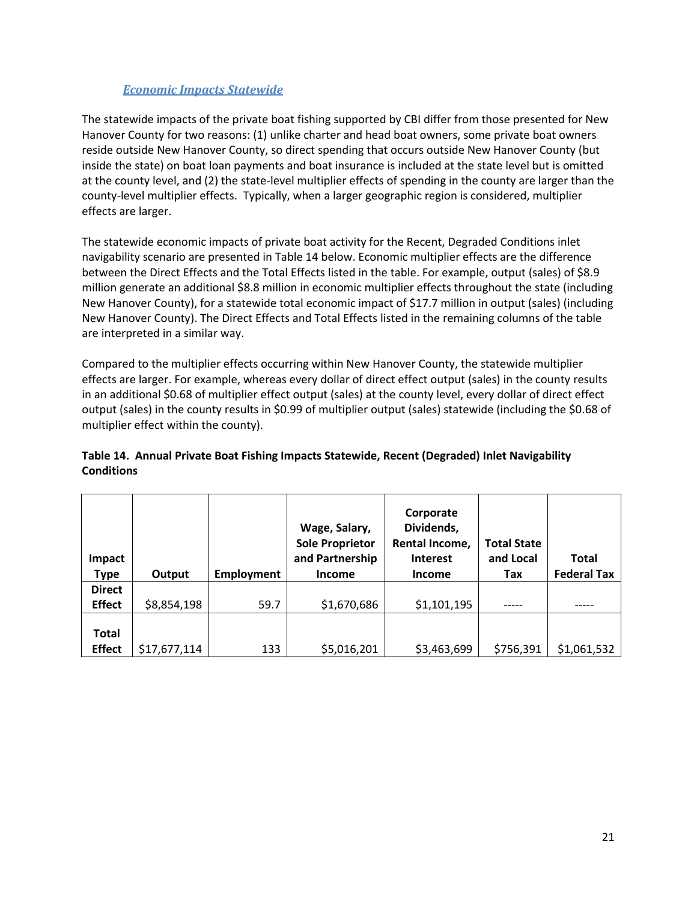<span id="page-23-0"></span>The statewide impacts of the private boat fishing supported by CBI differ from those presented for New Hanover County for two reasons: (1) unlike charter and head boat owners, some private boat owners reside outside New Hanover County, so direct spending that occurs outside New Hanover County (but inside the state) on boat loan payments and boat insurance is included at the state level but is omitted at the county level, and (2) the state-level multiplier effects of spending in the county are larger than the county-level multiplier effects. Typically, when a larger geographic region is considered, multiplier effects are larger.

The statewide economic impacts of private boat activity for the Recent, Degraded Conditions inlet navigability scenario are presented in Table 14 below. Economic multiplier effects are the difference between the Direct Effects and the Total Effects listed in the table. For example, output (sales) of \$8.9 million generate an additional \$8.8 million in economic multiplier effects throughout the state (including New Hanover County), for a statewide total economic impact of \$17.7 million in output (sales) (including New Hanover County). The Direct Effects and Total Effects listed in the remaining columns of the table are interpreted in a similar way.

Compared to the multiplier effects occurring within New Hanover County, the statewide multiplier effects are larger. For example, whereas every dollar of direct effect output (sales) in the county results in an additional \$0.68 of multiplier effect output (sales) at the county level, every dollar of direct effect output (sales) in the county results in \$0.99 of multiplier output (sales) statewide (including the \$0.68 of multiplier effect within the county).

| <b>Impact</b><br>Type          | Output       | <b>Employment</b> | Wage, Salary,<br><b>Sole Proprietor</b><br>and Partnership<br><b>Income</b> | Corporate<br>Dividends,<br>Rental Income,<br><b>Interest</b><br>Income | <b>Total State</b><br>and Local<br>Tax | <b>Total</b><br><b>Federal Tax</b> |
|--------------------------------|--------------|-------------------|-----------------------------------------------------------------------------|------------------------------------------------------------------------|----------------------------------------|------------------------------------|
| <b>Direct</b><br><b>Effect</b> | \$8,854,198  | 59.7              | \$1,670,686                                                                 | \$1,101,195                                                            |                                        |                                    |
| Total<br><b>Effect</b>         | \$17,677,114 | 133               | \$5,016,201                                                                 | \$3,463,699                                                            | \$756,391                              | \$1,061,532                        |

#### **Table 14. Annual Private Boat Fishing Impacts Statewide, Recent (Degraded) Inlet Navigability Conditions**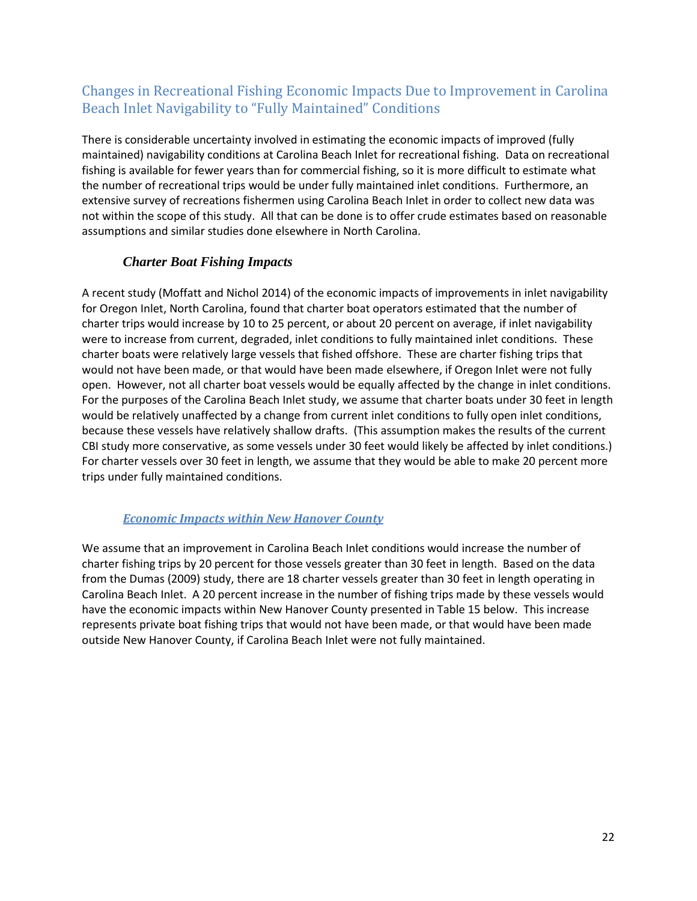## <span id="page-24-0"></span>Changes in Recreational Fishing Economic Impacts Due to Improvement in Carolina Beach Inlet Navigability to "Fully Maintained" Conditions

There is considerable uncertainty involved in estimating the economic impacts of improved (fully maintained) navigability conditions at Carolina Beach Inlet for recreational fishing. Data on recreational fishing is available for fewer years than for commercial fishing, so it is more difficult to estimate what the number of recreational trips would be under fully maintained inlet conditions. Furthermore, an extensive survey of recreations fishermen using Carolina Beach Inlet in order to collect new data was not within the scope of this study. All that can be done is to offer crude estimates based on reasonable assumptions and similar studies done elsewhere in North Carolina.

### *Charter Boat Fishing Impacts*

<span id="page-24-1"></span>A recent study (Moffatt and Nichol 2014) of the economic impacts of improvements in inlet navigability for Oregon Inlet, North Carolina, found that charter boat operators estimated that the number of charter trips would increase by 10 to 25 percent, or about 20 percent on average, if inlet navigability were to increase from current, degraded, inlet conditions to fully maintained inlet conditions. These charter boats were relatively large vessels that fished offshore. These are charter fishing trips that would not have been made, or that would have been made elsewhere, if Oregon Inlet were not fully open. However, not all charter boat vessels would be equally affected by the change in inlet conditions. For the purposes of the Carolina Beach Inlet study, we assume that charter boats under 30 feet in length would be relatively unaffected by a change from current inlet conditions to fully open inlet conditions, because these vessels have relatively shallow drafts. (This assumption makes the results of the current CBI study more conservative, as some vessels under 30 feet would likely be affected by inlet conditions.) For charter vessels over 30 feet in length, we assume that they would be able to make 20 percent more trips under fully maintained conditions.

### <span id="page-24-2"></span>*Economic Impacts within New Hanover County*

We assume that an improvement in Carolina Beach Inlet conditions would increase the number of charter fishing trips by 20 percent for those vessels greater than 30 feet in length. Based on the data from the Dumas (2009) study, there are 18 charter vessels greater than 30 feet in length operating in Carolina Beach Inlet. A 20 percent increase in the number of fishing trips made by these vessels would have the economic impacts within New Hanover County presented in Table 15 below. This increase represents private boat fishing trips that would not have been made, or that would have been made outside New Hanover County, if Carolina Beach Inlet were not fully maintained.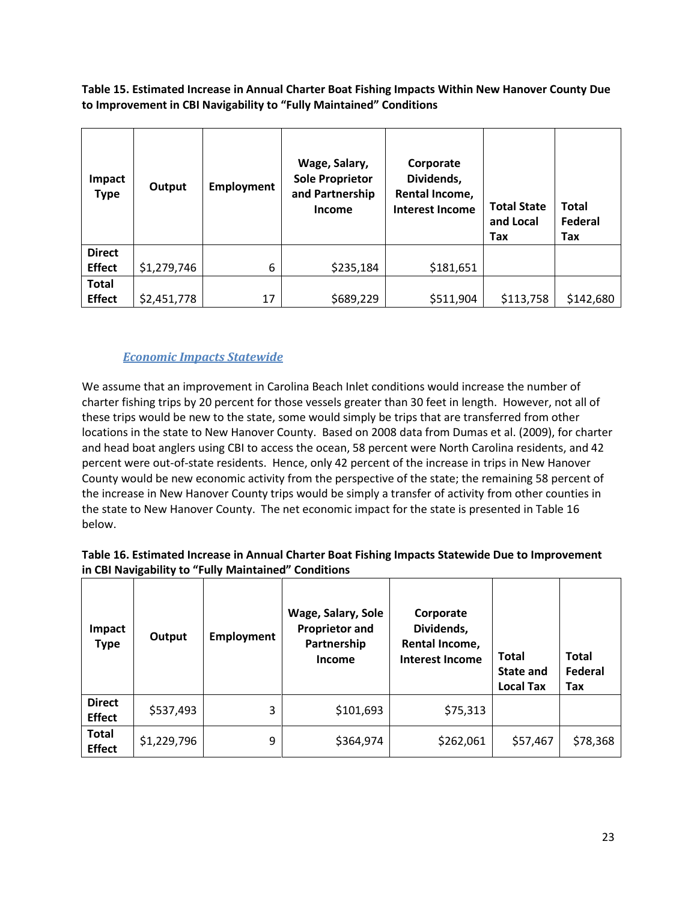**Table 15. Estimated Increase in Annual Charter Boat Fishing Impacts Within New Hanover County Due to Improvement in CBI Navigability to "Fully Maintained" Conditions**

| <b>Impact</b><br><b>Type</b> | Output      | Employment | Wage, Salary,<br><b>Sole Proprietor</b><br>and Partnership<br><b>Income</b> | Corporate<br>Dividends,<br>Rental Income,<br><b>Interest Income</b> | <b>Total State</b><br>and Local<br>Tax | <b>Total</b><br>Federal<br>Tax |
|------------------------------|-------------|------------|-----------------------------------------------------------------------------|---------------------------------------------------------------------|----------------------------------------|--------------------------------|
| <b>Direct</b>                |             |            |                                                                             |                                                                     |                                        |                                |
| <b>Effect</b>                | \$1,279,746 | 6          | \$235,184                                                                   | \$181,651                                                           |                                        |                                |
| <b>Total</b>                 |             |            |                                                                             |                                                                     |                                        |                                |
| <b>Effect</b>                | \$2,451,778 | 17         | \$689,229                                                                   | \$511,904                                                           | \$113,758                              | \$142,680                      |

### *Economic Impacts Statewide*

<span id="page-25-0"></span>We assume that an improvement in Carolina Beach Inlet conditions would increase the number of charter fishing trips by 20 percent for those vessels greater than 30 feet in length. However, not all of these trips would be new to the state, some would simply be trips that are transferred from other locations in the state to New Hanover County. Based on 2008 data from Dumas et al. (2009), for charter and head boat anglers using CBI to access the ocean, 58 percent were North Carolina residents, and 42 percent were out-of-state residents. Hence, only 42 percent of the increase in trips in New Hanover County would be new economic activity from the perspective of the state; the remaining 58 percent of the increase in New Hanover County trips would be simply a transfer of activity from other counties in the state to New Hanover County. The net economic impact for the state is presented in Table 16 below.

| Table 16. Estimated Increase in Annual Charter Boat Fishing Impacts Statewide Due to Improvement |
|--------------------------------------------------------------------------------------------------|
| in CBI Navigability to "Fully Maintained" Conditions                                             |

| Impact<br><b>Type</b>          | Output      | <b>Employment</b> | Wage, Salary, Sole<br><b>Proprietor and</b><br>Partnership<br>Income | Corporate<br>Dividends,<br>Rental Income,<br><b>Interest Income</b> | <b>Total</b><br>State and<br><b>Local Tax</b> | <b>Total</b><br>Federal<br>Tax |
|--------------------------------|-------------|-------------------|----------------------------------------------------------------------|---------------------------------------------------------------------|-----------------------------------------------|--------------------------------|
| <b>Direct</b><br><b>Effect</b> | \$537,493   | 3                 | \$101,693                                                            | \$75,313                                                            |                                               |                                |
| <b>Total</b><br><b>Effect</b>  | \$1,229,796 | 9                 | \$364,974                                                            | \$262,061                                                           | \$57,467                                      | \$78,368                       |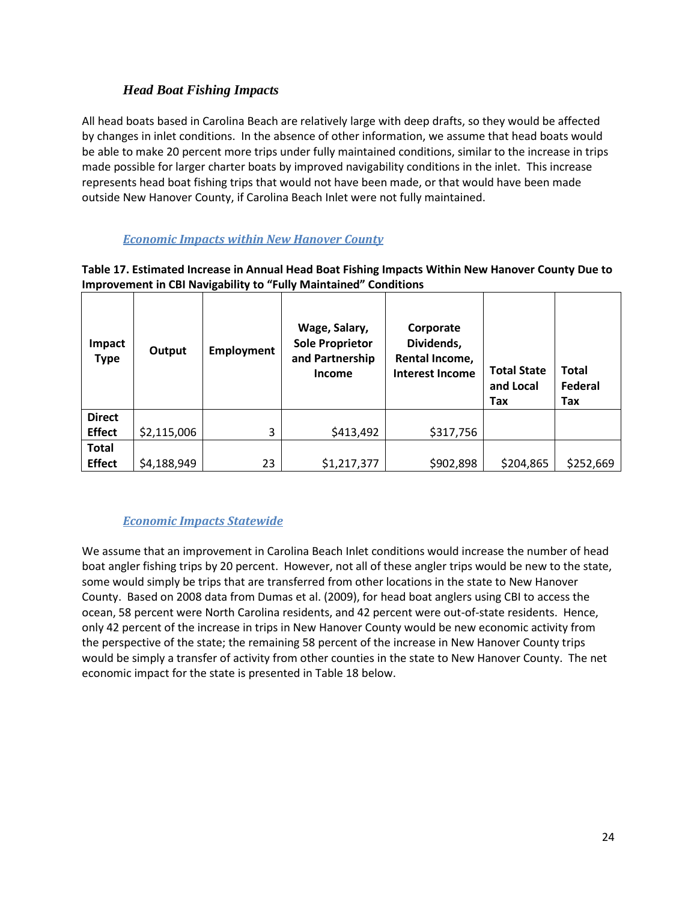### *Head Boat Fishing Impacts*

<span id="page-26-0"></span>All head boats based in Carolina Beach are relatively large with deep drafts, so they would be affected by changes in inlet conditions. In the absence of other information, we assume that head boats would be able to make 20 percent more trips under fully maintained conditions, similar to the increase in trips made possible for larger charter boats by improved navigability conditions in the inlet. This increase represents head boat fishing trips that would not have been made, or that would have been made outside New Hanover County, if Carolina Beach Inlet were not fully maintained.

### *Economic Impacts within New Hanover County*

#### <span id="page-26-1"></span>**Table 17. Estimated Increase in Annual Head Boat Fishing Impacts Within New Hanover County Due to Improvement in CBI Navigability to "Fully Maintained" Conditions**

| Impact<br><b>Type</b> | Output      | <b>Employment</b> | Wage, Salary,<br><b>Sole Proprietor</b><br>and Partnership<br><b>Income</b> | Corporate<br>Dividends,<br>Rental Income,<br><b>Interest Income</b> | <b>Total State</b><br>and Local<br>Tax | <b>Total</b><br>Federal<br>Tax |
|-----------------------|-------------|-------------------|-----------------------------------------------------------------------------|---------------------------------------------------------------------|----------------------------------------|--------------------------------|
| <b>Direct</b>         |             |                   |                                                                             |                                                                     |                                        |                                |
| <b>Effect</b>         | \$2,115,006 | 3                 | \$413,492                                                                   | \$317,756                                                           |                                        |                                |
| <b>Total</b>          |             |                   |                                                                             |                                                                     |                                        |                                |
| <b>Effect</b>         | \$4,188,949 | 23                | \$1,217,377                                                                 | \$902,898                                                           | \$204,865                              | \$252,669                      |

### *Economic Impacts Statewide*

<span id="page-26-2"></span>We assume that an improvement in Carolina Beach Inlet conditions would increase the number of head boat angler fishing trips by 20 percent. However, not all of these angler trips would be new to the state, some would simply be trips that are transferred from other locations in the state to New Hanover County. Based on 2008 data from Dumas et al. (2009), for head boat anglers using CBI to access the ocean, 58 percent were North Carolina residents, and 42 percent were out-of-state residents. Hence, only 42 percent of the increase in trips in New Hanover County would be new economic activity from the perspective of the state; the remaining 58 percent of the increase in New Hanover County trips would be simply a transfer of activity from other counties in the state to New Hanover County. The net economic impact for the state is presented in Table 18 below.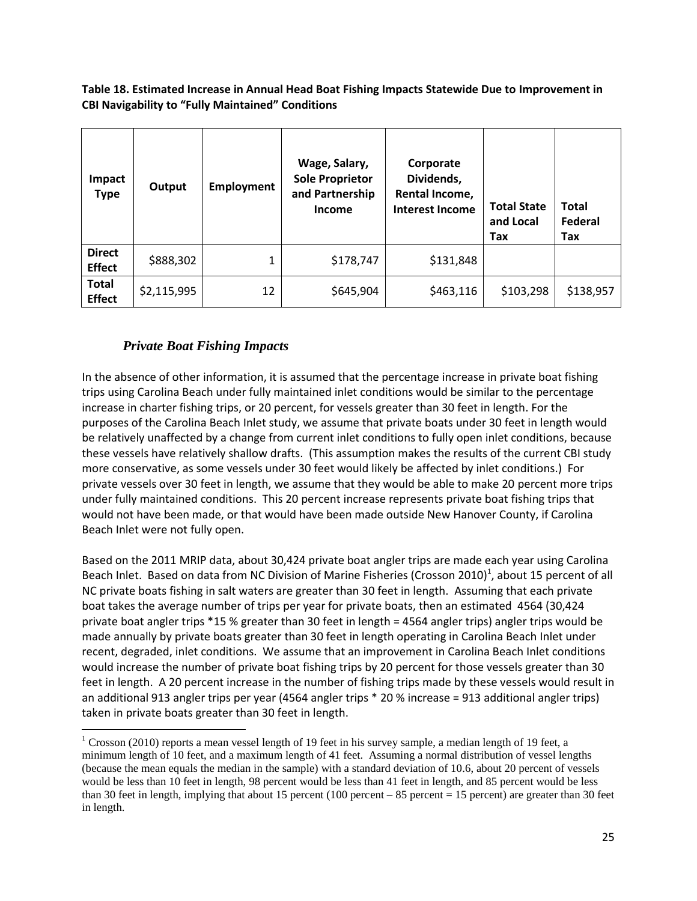**Table 18. Estimated Increase in Annual Head Boat Fishing Impacts Statewide Due to Improvement in CBI Navigability to "Fully Maintained" Conditions**

| <b>Impact</b><br><b>Type</b>   | Output      | <b>Employment</b> | Wage, Salary,<br><b>Sole Proprietor</b><br>and Partnership<br><b>Income</b> | Corporate<br>Dividends,<br>Rental Income,<br><b>Interest Income</b> | <b>Total State</b><br>and Local<br>Tax | <b>Total</b><br>Federal<br>Tax |
|--------------------------------|-------------|-------------------|-----------------------------------------------------------------------------|---------------------------------------------------------------------|----------------------------------------|--------------------------------|
| <b>Direct</b><br><b>Effect</b> | \$888,302   | 1                 | \$178,747                                                                   | \$131,848                                                           |                                        |                                |
| <b>Total</b><br><b>Effect</b>  | \$2,115,995 | 12                | \$645,904                                                                   | \$463,116                                                           | \$103,298                              | \$138,957                      |

#### *Private Boat Fishing Impacts*

 $\overline{\phantom{a}}$ 

<span id="page-27-0"></span>In the absence of other information, it is assumed that the percentage increase in private boat fishing trips using Carolina Beach under fully maintained inlet conditions would be similar to the percentage increase in charter fishing trips, or 20 percent, for vessels greater than 30 feet in length. For the purposes of the Carolina Beach Inlet study, we assume that private boats under 30 feet in length would be relatively unaffected by a change from current inlet conditions to fully open inlet conditions, because these vessels have relatively shallow drafts. (This assumption makes the results of the current CBI study more conservative, as some vessels under 30 feet would likely be affected by inlet conditions.) For private vessels over 30 feet in length, we assume that they would be able to make 20 percent more trips under fully maintained conditions. This 20 percent increase represents private boat fishing trips that would not have been made, or that would have been made outside New Hanover County, if Carolina Beach Inlet were not fully open.

Based on the 2011 MRIP data, about 30,424 private boat angler trips are made each year using Carolina Beach Inlet. Based on data from NC Division of Marine Fisheries (Crosson 2010)<sup>1</sup>, about 15 percent of all NC private boats fishing in salt waters are greater than 30 feet in length. Assuming that each private boat takes the average number of trips per year for private boats, then an estimated 4564 (30,424 private boat angler trips \*15 % greater than 30 feet in length = 4564 angler trips) angler trips would be made annually by private boats greater than 30 feet in length operating in Carolina Beach Inlet under recent, degraded, inlet conditions. We assume that an improvement in Carolina Beach Inlet conditions would increase the number of private boat fishing trips by 20 percent for those vessels greater than 30 feet in length. A 20 percent increase in the number of fishing trips made by these vessels would result in an additional 913 angler trips per year (4564 angler trips \* 20 % increase = 913 additional angler trips) taken in private boats greater than 30 feet in length.

<sup>&</sup>lt;sup>1</sup> Crosson (2010) reports a mean vessel length of 19 feet in his survey sample, a median length of 19 feet, a minimum length of 10 feet, and a maximum length of 41 feet. Assuming a normal distribution of vessel lengths (because the mean equals the median in the sample) with a standard deviation of 10.6, about 20 percent of vessels would be less than 10 feet in length, 98 percent would be less than 41 feet in length, and 85 percent would be less than 30 feet in length, implying that about 15 percent (100 percent – 85 percent = 15 percent) are greater than 30 feet in length.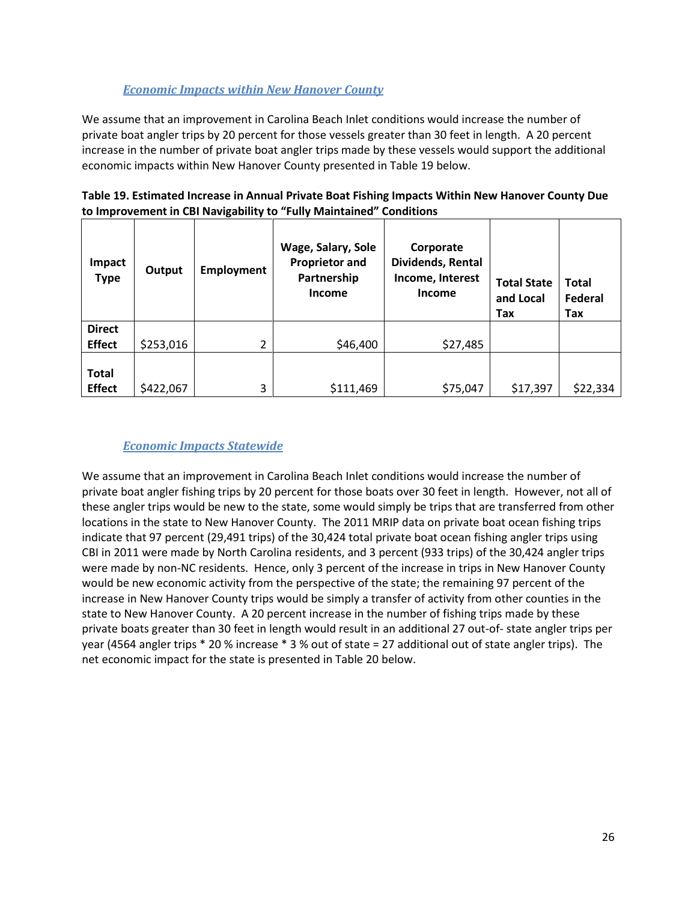### *Economic Impacts within New Hanover County*

<span id="page-28-0"></span>We assume that an improvement in Carolina Beach Inlet conditions would increase the number of private boat angler trips by 20 percent for those vessels greater than 30 feet in length. A 20 percent increase in the number of private boat angler trips made by these vessels would support the additional economic impacts within New Hanover County presented in Table 19 below.

| to improvement in CBI Navigability to "Fully Maintained"<br>Conditions |           |                   |                                                                             |                                                              |                                        |                                |  |  |  |
|------------------------------------------------------------------------|-----------|-------------------|-----------------------------------------------------------------------------|--------------------------------------------------------------|----------------------------------------|--------------------------------|--|--|--|
| <b>Impact</b><br><b>Type</b>                                           | Output    | <b>Employment</b> | Wage, Salary, Sole<br><b>Proprietor and</b><br>Partnership<br><b>Income</b> | Corporate<br>Dividends, Rental<br>Income, Interest<br>Income | <b>Total State</b><br>and Local<br>Tax | <b>Total</b><br>Federal<br>Tax |  |  |  |
| <b>Direct</b><br><b>Effect</b>                                         |           | $\overline{2}$    |                                                                             |                                                              |                                        |                                |  |  |  |
|                                                                        | \$253,016 |                   | \$46,400                                                                    | \$27,485                                                     |                                        |                                |  |  |  |
| <b>Total</b>                                                           |           |                   |                                                                             |                                                              |                                        |                                |  |  |  |
| <b>Effect</b>                                                          | \$422,067 | 3                 | \$111,469                                                                   | \$75,047                                                     | \$17,397                               | \$22,334                       |  |  |  |

| Table 19. Estimated Increase in Annual Private Boat Fishing Impacts Within New Hanover County Due |
|---------------------------------------------------------------------------------------------------|
| to Improvement in CBI Navigability to "Fully Maintained" Conditions                               |

#### *Economic Impacts Statewide*

<span id="page-28-1"></span>We assume that an improvement in Carolina Beach Inlet conditions would increase the number of private boat angler fishing trips by 20 percent for those boats over 30 feet in length. However, not all of these angler trips would be new to the state, some would simply be trips that are transferred from other locations in the state to New Hanover County. The 2011 MRIP data on private boat ocean fishing trips indicate that 97 percent (29,491 trips) of the 30,424 total private boat ocean fishing angler trips using CBI in 2011 were made by North Carolina residents, and 3 percent (933 trips) of the 30,424 angler trips were made by non-NC residents. Hence, only 3 percent of the increase in trips in New Hanover County would be new economic activity from the perspective of the state; the remaining 97 percent of the increase in New Hanover County trips would be simply a transfer of activity from other counties in the state to New Hanover County. A 20 percent increase in the number of fishing trips made by these private boats greater than 30 feet in length would result in an additional 27 out-of- state angler trips per year (4564 angler trips \* 20 % increase \* 3 % out of state = 27 additional out of state angler trips). The net economic impact for the state is presented in Table 20 below.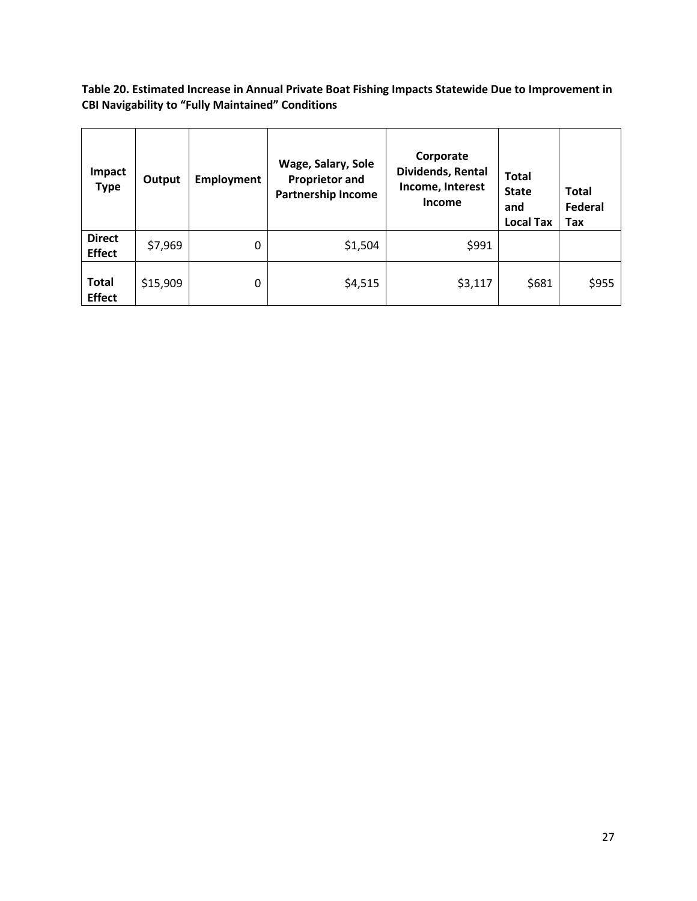**Table 20. Estimated Increase in Annual Private Boat Fishing Impacts Statewide Due to Improvement in CBI Navigability to "Fully Maintained" Conditions**

| <b>Impact</b><br><b>Type</b>   | Output   | <b>Employment</b> | Wage, Salary, Sole<br><b>Proprietor and</b><br><b>Partnership Income</b> | Corporate<br>Dividends, Rental<br>Income, Interest<br><b>Income</b> | <b>Total</b><br><b>State</b><br>and<br><b>Local Tax</b> | <b>Total</b><br>Federal<br>Tax |
|--------------------------------|----------|-------------------|--------------------------------------------------------------------------|---------------------------------------------------------------------|---------------------------------------------------------|--------------------------------|
| <b>Direct</b><br><b>Effect</b> | \$7,969  | 0                 | \$1,504                                                                  | \$991                                                               |                                                         |                                |
| <b>Total</b><br><b>Effect</b>  | \$15,909 | 0                 | \$4,515                                                                  | \$3,117                                                             | \$681                                                   | \$955                          |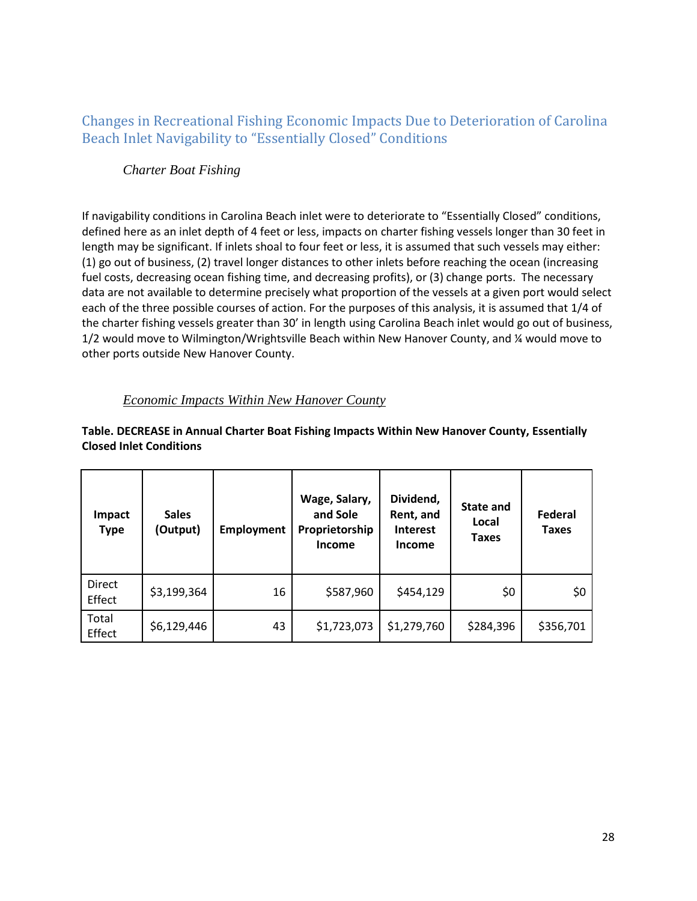## <span id="page-30-0"></span>Changes in Recreational Fishing Economic Impacts Due to Deterioration of Carolina Beach Inlet Navigability to "Essentially Closed" Conditions

### <span id="page-30-1"></span>*Charter Boat Fishing*

If navigability conditions in Carolina Beach inlet were to deteriorate to "Essentially Closed" conditions, defined here as an inlet depth of 4 feet or less, impacts on charter fishing vessels longer than 30 feet in length may be significant. If inlets shoal to four feet or less, it is assumed that such vessels may either: (1) go out of business, (2) travel longer distances to other inlets before reaching the ocean (increasing fuel costs, decreasing ocean fishing time, and decreasing profits), or (3) change ports. The necessary data are not available to determine precisely what proportion of the vessels at a given port would select each of the three possible courses of action. For the purposes of this analysis, it is assumed that 1/4 of the charter fishing vessels greater than 30' in length using Carolina Beach inlet would go out of business, 1/2 would move to Wilmington/Wrightsville Beach within New Hanover County, and ¼ would move to other ports outside New Hanover County.

## *Economic Impacts Within New Hanover County*

#### <span id="page-30-2"></span>**Table. DECREASE in Annual Charter Boat Fishing Impacts Within New Hanover County, Essentially Closed Inlet Conditions**

| Impact<br><b>Type</b> | <b>Sales</b><br>(Output) | <b>Employment</b> | Wage, Salary,<br>and Sole<br>Proprietorship<br>Income | Dividend,<br>Rent, and<br><b>Interest</b><br>Income | State and<br>Local<br><b>Taxes</b> | Federal<br><b>Taxes</b> |
|-----------------------|--------------------------|-------------------|-------------------------------------------------------|-----------------------------------------------------|------------------------------------|-------------------------|
| Direct<br>Effect      | \$3,199,364              | 16                | \$587,960                                             | \$454,129                                           | \$0                                | \$0                     |
| Total<br>Effect       | \$6,129,446              | 43                | \$1,723,073                                           | \$1,279,760                                         | \$284,396                          | \$356,701               |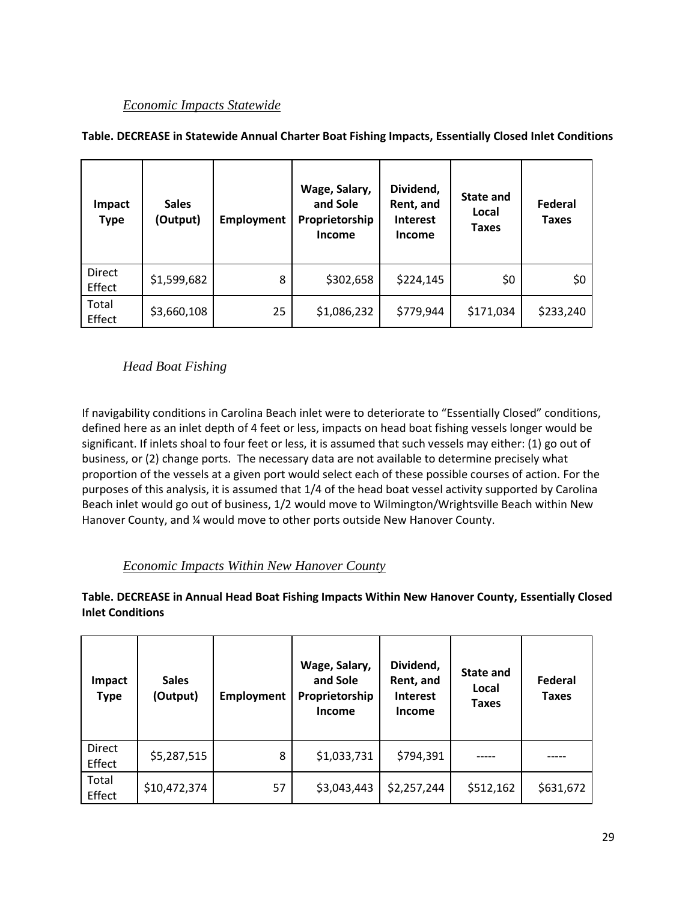| <b>Impact</b><br><b>Type</b> | <b>Sales</b><br>(Output) | <b>Employment</b> | Wage, Salary,<br>and Sole<br>Proprietorship<br><b>Income</b> | Dividend,<br>Rent, and<br><b>Interest</b><br><b>Income</b> | <b>State and</b><br>Local<br><b>Taxes</b> | Federal<br><b>Taxes</b> |
|------------------------------|--------------------------|-------------------|--------------------------------------------------------------|------------------------------------------------------------|-------------------------------------------|-------------------------|
| Direct<br>Effect             | \$1,599,682              | 8                 | \$302,658                                                    | \$224,145                                                  | \$0                                       | \$0                     |
| Total<br>Effect              | \$3,660,108              | 25                | \$1,086,232                                                  | \$779,944                                                  | \$171,034                                 | \$233,240               |

#### <span id="page-31-0"></span>**Table. DECREASE in Statewide Annual Charter Boat Fishing Impacts, Essentially Closed Inlet Conditions**

<span id="page-31-1"></span>*Head Boat Fishing*

If navigability conditions in Carolina Beach inlet were to deteriorate to "Essentially Closed" conditions, defined here as an inlet depth of 4 feet or less, impacts on head boat fishing vessels longer would be significant. If inlets shoal to four feet or less, it is assumed that such vessels may either: (1) go out of business, or (2) change ports. The necessary data are not available to determine precisely what proportion of the vessels at a given port would select each of these possible courses of action. For the purposes of this analysis, it is assumed that 1/4 of the head boat vessel activity supported by Carolina Beach inlet would go out of business, 1/2 would move to Wilmington/Wrightsville Beach within New Hanover County, and ¼ would move to other ports outside New Hanover County.

#### *Economic Impacts Within New Hanover County*

<span id="page-31-2"></span>**Table. DECREASE in Annual Head Boat Fishing Impacts Within New Hanover County, Essentially Closed Inlet Conditions**

| <b>Impact</b><br><b>Type</b> | <b>Sales</b><br>(Output) | <b>Employment</b> | Wage, Salary,<br>and Sole<br>Proprietorship<br><b>Income</b> | Dividend,<br>Rent, and<br><b>Interest</b><br><b>Income</b> | State and<br>Local<br><b>Taxes</b> | Federal<br><b>Taxes</b> |
|------------------------------|--------------------------|-------------------|--------------------------------------------------------------|------------------------------------------------------------|------------------------------------|-------------------------|
| <b>Direct</b><br>Effect      | \$5,287,515              | 8                 | \$1,033,731                                                  | \$794,391                                                  |                                    |                         |
| Total<br>Effect              | \$10,472,374             | 57                | \$3,043,443                                                  | \$2,257,244                                                | \$512,162                          | \$631,672               |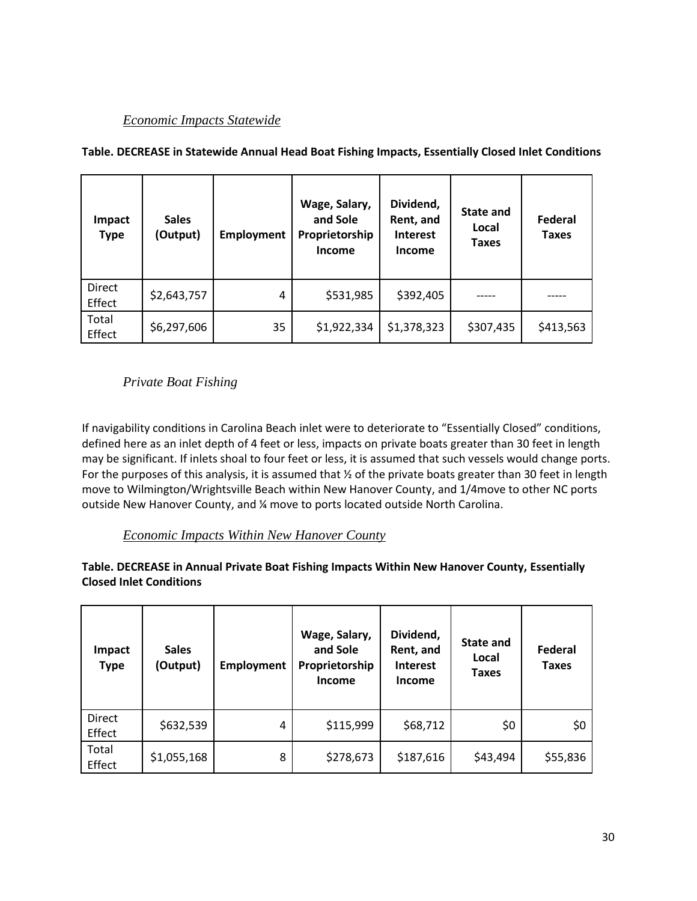| <b>Impact</b><br><b>Type</b> | <b>Sales</b><br>(Output) | <b>Employment</b> | Wage, Salary,<br>and Sole<br>Proprietorship<br><b>Income</b> | Dividend,<br>Rent, and<br><b>Interest</b><br><b>Income</b> | <b>State and</b><br>Local<br>Taxes | Federal<br><b>Taxes</b> |
|------------------------------|--------------------------|-------------------|--------------------------------------------------------------|------------------------------------------------------------|------------------------------------|-------------------------|
| Direct<br>Effect             | \$2,643,757              | 4                 | \$531,985                                                    | \$392,405                                                  |                                    |                         |
| Total<br>Effect              | \$6,297,606              | 35                | \$1,922,334                                                  | \$1,378,323                                                | \$307,435                          | \$413,563               |

<span id="page-32-0"></span>**Table. DECREASE in Statewide Annual Head Boat Fishing Impacts, Essentially Closed Inlet Conditions**

<span id="page-32-1"></span>*Private Boat Fishing*

If navigability conditions in Carolina Beach inlet were to deteriorate to "Essentially Closed" conditions, defined here as an inlet depth of 4 feet or less, impacts on private boats greater than 30 feet in length may be significant. If inlets shoal to four feet or less, it is assumed that such vessels would change ports. For the purposes of this analysis, it is assumed that  $\frac{1}{2}$  of the private boats greater than 30 feet in length move to Wilmington/Wrightsville Beach within New Hanover County, and 1/4move to other NC ports outside New Hanover County, and ¼ move to ports located outside North Carolina.

*Economic Impacts Within New Hanover County*

<span id="page-32-2"></span>**Table. DECREASE in Annual Private Boat Fishing Impacts Within New Hanover County, Essentially Closed Inlet Conditions**

| Impact<br><b>Type</b>   | <b>Sales</b><br>(Output) | <b>Employment</b> | Wage, Salary,<br>and Sole<br>Proprietorship<br><b>Income</b> | Dividend,<br>Rent, and<br><b>Interest</b><br><b>Income</b> | <b>State and</b><br>Local<br><b>Taxes</b> | Federal<br>Taxes |
|-------------------------|--------------------------|-------------------|--------------------------------------------------------------|------------------------------------------------------------|-------------------------------------------|------------------|
| <b>Direct</b><br>Effect | \$632,539                | 4                 | \$115,999                                                    | \$68,712                                                   | \$0                                       | \$0              |
| Total<br>Effect         | \$1,055,168              | 8                 | \$278,673                                                    | \$187,616                                                  | \$43,494                                  | \$55,836         |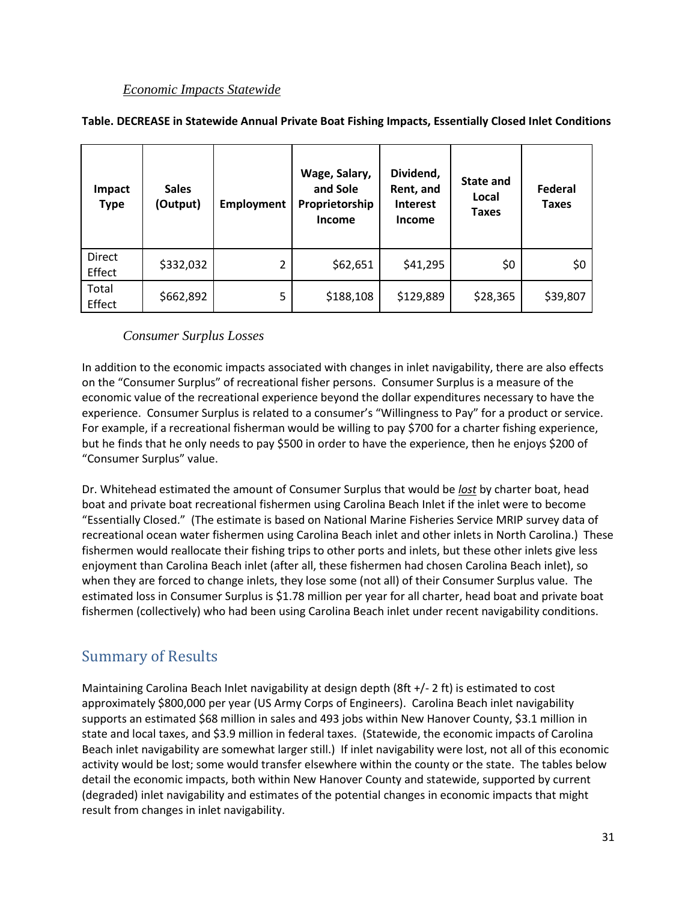<span id="page-33-0"></span>

| Impact<br><b>Type</b> | <b>Sales</b><br>(Output) | <b>Employment</b> | Wage, Salary,<br>and Sole<br>Proprietorship<br><b>Income</b> | Dividend,<br>Rent, and<br><b>Interest</b><br>Income | State and<br>Local<br><b>Taxes</b> | Federal<br><b>Taxes</b> |
|-----------------------|--------------------------|-------------------|--------------------------------------------------------------|-----------------------------------------------------|------------------------------------|-------------------------|
| Direct<br>Effect      | \$332,032                | 2                 | \$62,651                                                     | \$41,295                                            | \$0                                | \$0                     |
| Total<br>Effect       | \$662,892                | 5                 | \$188,108                                                    | \$129,889                                           | \$28,365                           | \$39,807                |

#### *Consumer Surplus Losses*

<span id="page-33-1"></span>In addition to the economic impacts associated with changes in inlet navigability, there are also effects on the "Consumer Surplus" of recreational fisher persons. Consumer Surplus is a measure of the economic value of the recreational experience beyond the dollar expenditures necessary to have the experience. Consumer Surplus is related to a consumer's "Willingness to Pay" for a product or service. For example, if a recreational fisherman would be willing to pay \$700 for a charter fishing experience, but he finds that he only needs to pay \$500 in order to have the experience, then he enjoys \$200 of "Consumer Surplus" value.

Dr. Whitehead estimated the amount of Consumer Surplus that would be *lost* by charter boat, head boat and private boat recreational fishermen using Carolina Beach Inlet if the inlet were to become "Essentially Closed." (The estimate is based on National Marine Fisheries Service MRIP survey data of recreational ocean water fishermen using Carolina Beach inlet and other inlets in North Carolina.) These fishermen would reallocate their fishing trips to other ports and inlets, but these other inlets give less enjoyment than Carolina Beach inlet (after all, these fishermen had chosen Carolina Beach inlet), so when they are forced to change inlets, they lose some (not all) of their Consumer Surplus value. The estimated loss in Consumer Surplus is \$1.78 million per year for all charter, head boat and private boat fishermen (collectively) who had been using Carolina Beach inlet under recent navigability conditions.

## <span id="page-33-2"></span>Summary of Results

Maintaining Carolina Beach Inlet navigability at design depth (8ft +/- 2 ft) is estimated to cost approximately \$800,000 per year (US Army Corps of Engineers). Carolina Beach inlet navigability supports an estimated \$68 million in sales and 493 jobs within New Hanover County, \$3.1 million in state and local taxes, and \$3.9 million in federal taxes. (Statewide, the economic impacts of Carolina Beach inlet navigability are somewhat larger still.) If inlet navigability were lost, not all of this economic activity would be lost; some would transfer elsewhere within the county or the state. The tables below detail the economic impacts, both within New Hanover County and statewide, supported by current (degraded) inlet navigability and estimates of the potential changes in economic impacts that might result from changes in inlet navigability.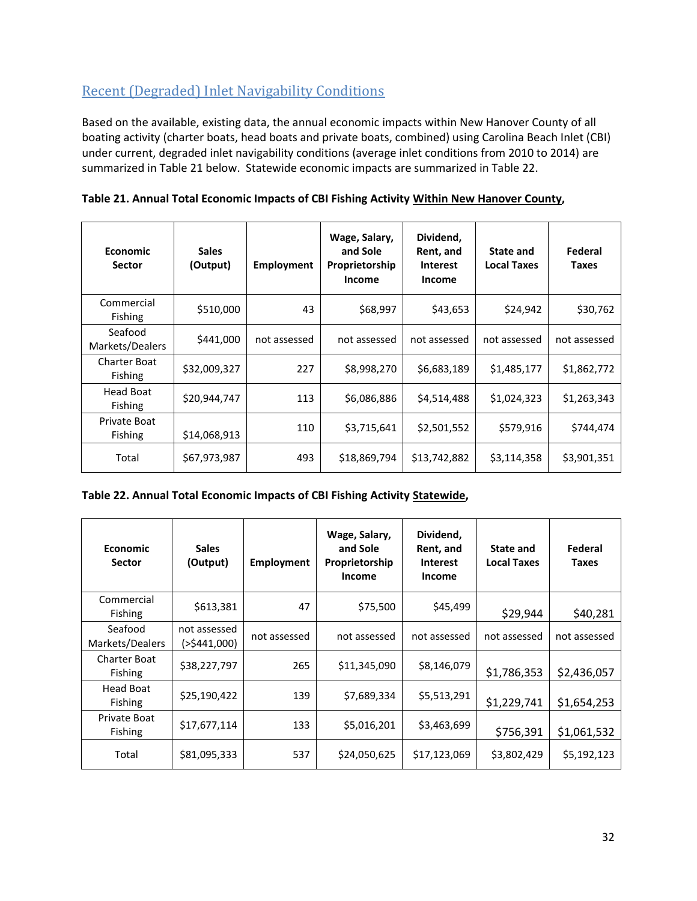## <span id="page-34-0"></span>Recent (Degraded) Inlet Navigability Conditions

Based on the available, existing data, the annual economic impacts within New Hanover County of all boating activity (charter boats, head boats and private boats, combined) using Carolina Beach Inlet (CBI) under current, degraded inlet navigability conditions (average inlet conditions from 2010 to 2014) are summarized in Table 21 below. Statewide economic impacts are summarized in Table 22.

| <b>Economic</b><br><b>Sector</b>      | <b>Sales</b><br>(Output) | <b>Employment</b> | Wage, Salary,<br>and Sole<br>Proprietorship<br><b>Income</b> | Dividend,<br>Rent, and<br><b>Interest</b><br><b>Income</b> | State and<br><b>Local Taxes</b> | Federal<br><b>Taxes</b> |
|---------------------------------------|--------------------------|-------------------|--------------------------------------------------------------|------------------------------------------------------------|---------------------------------|-------------------------|
| Commercial<br><b>Fishing</b>          | \$510,000                | 43                | \$68,997                                                     | \$43,653                                                   | \$24,942                        | \$30,762                |
| Seafood<br>Markets/Dealers            | \$441,000                | not assessed      | not assessed                                                 | not assessed                                               | not assessed                    | not assessed            |
| <b>Charter Boat</b><br><b>Fishing</b> | \$32,009,327             | 227               | \$8,998,270                                                  | \$6,683,189                                                | \$1,485,177                     | \$1,862,772             |
| Head Boat<br><b>Fishing</b>           | \$20,944,747             | 113               | \$6,086,886                                                  | \$4,514,488                                                | \$1,024,323                     | \$1,263,343             |
| Private Boat<br>Fishing               | \$14,068,913             | 110               | \$3,715,641                                                  | \$2,501,552                                                | \$579,916                       | \$744,474               |
| Total                                 | \$67,973,987             | 493               | \$18,869,794                                                 | \$13,742,882                                               | \$3,114,358                     | \$3,901,351             |

**Table 21. Annual Total Economic Impacts of CBI Fishing Activity Within New Hanover County,** 

#### **Table 22. Annual Total Economic Impacts of CBI Fishing Activity Statewide,**

| <b>Economic</b><br><b>Sector</b> | <b>Sales</b><br>(Output)       | <b>Employment</b> | Wage, Salary,<br>and Sole<br>Proprietorship<br>Income | Dividend,<br>Rent, and<br><b>Interest</b><br><b>Income</b> | <b>State and</b><br><b>Local Taxes</b> | Federal<br>Taxes |
|----------------------------------|--------------------------------|-------------------|-------------------------------------------------------|------------------------------------------------------------|----------------------------------------|------------------|
| Commercial<br><b>Fishing</b>     | \$613,381                      | 47                | \$75,500                                              | \$45,499                                                   | \$29,944                               | \$40,281         |
| Seafood<br>Markets/Dealers       | not assessed<br>( > \$441,000) | not assessed      | not assessed                                          | not assessed                                               | not assessed                           | not assessed     |
| Charter Boat<br><b>Fishing</b>   | \$38,227,797                   | 265               | \$11,345,090                                          | \$8,146,079                                                | \$1,786,353                            | \$2,436,057      |
| Head Boat<br><b>Fishing</b>      | \$25,190,422                   | 139               | \$7,689,334                                           | \$5,513,291                                                | \$1,229,741                            | \$1,654,253      |
| Private Boat<br><b>Fishing</b>   | \$17,677,114                   | 133               | \$5,016,201                                           | \$3,463,699                                                | \$756,391                              | \$1,061,532      |
| Total                            | \$81,095,333                   | 537               | \$24,050,625                                          | \$17,123,069                                               | \$3,802,429                            | \$5,192,123      |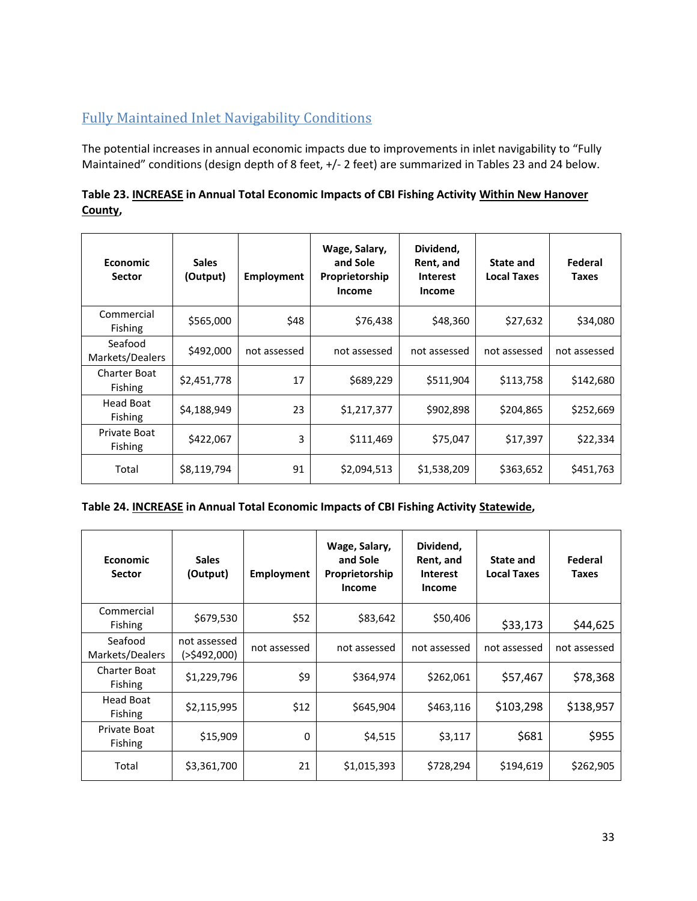# <span id="page-35-0"></span>Fully Maintained Inlet Navigability Conditions

The potential increases in annual economic impacts due to improvements in inlet navigability to "Fully Maintained" conditions (design depth of 8 feet, +/- 2 feet) are summarized in Tables 23 and 24 below.

| Table 23. INCREASE in Annual Total Economic Impacts of CBI Fishing Activity Within New Hanover |  |
|------------------------------------------------------------------------------------------------|--|
| County,                                                                                        |  |

| <b>Economic</b><br><b>Sector</b>      | <b>Sales</b><br>(Output) | Employment   | Wage, Salary,<br>and Sole<br>Proprietorship<br>Income | Dividend,<br>Rent, and<br><b>Interest</b><br>Income | State and<br><b>Local Taxes</b> | Federal<br>Taxes |
|---------------------------------------|--------------------------|--------------|-------------------------------------------------------|-----------------------------------------------------|---------------------------------|------------------|
| Commercial<br>Fishing                 | \$565,000                | \$48         | \$76,438                                              | \$48,360                                            | \$27,632                        | \$34,080         |
| Seafood<br>Markets/Dealers            | \$492,000                | not assessed | not assessed                                          | not assessed                                        | not assessed                    | not assessed     |
| <b>Charter Boat</b><br><b>Fishing</b> | \$2,451,778              | 17           | \$689,229                                             | \$511,904                                           | \$113,758                       | \$142,680        |
| Head Boat<br><b>Fishing</b>           | \$4,188,949              | 23           | \$1,217,377                                           | \$902,898                                           | \$204,865                       | \$252,669        |
| Private Boat<br>Fishing               | \$422,067                | 3            | \$111,469                                             | \$75,047                                            | \$17,397                        | \$22,334         |
| Total                                 | \$8,119,794              | 91           | \$2,094,513                                           | \$1,538,209                                         | \$363,652                       | \$451,763        |

| Table 24. <b>INCREASE</b> in Annual Total Economic Impacts of CBI Fishing Activity Statewide, |  |  |
|-----------------------------------------------------------------------------------------------|--|--|
|-----------------------------------------------------------------------------------------------|--|--|

| <b>Economic</b><br><b>Sector</b>      | <b>Sales</b><br>(Output)       | <b>Employment</b> | Wage, Salary,<br>and Sole<br>Proprietorship<br><b>Income</b> | Dividend,<br>Rent, and<br><b>Interest</b><br>Income | <b>State and</b><br><b>Local Taxes</b> | Federal<br><b>Taxes</b> |
|---------------------------------------|--------------------------------|-------------------|--------------------------------------------------------------|-----------------------------------------------------|----------------------------------------|-------------------------|
| Commercial<br>Fishing                 | \$679,530                      | \$52              | \$83,642                                                     | \$50,406                                            | \$33,173                               | \$44,625                |
| Seafood<br>Markets/Dealers            | not assessed<br>( > \$492,000) | not assessed      | not assessed                                                 | not assessed                                        | not assessed                           | not assessed            |
| <b>Charter Boat</b><br><b>Fishing</b> | \$1,229,796                    | \$9               | \$364,974                                                    | \$262,061                                           | \$57,467                               | \$78,368                |
| <b>Head Boat</b><br><b>Fishing</b>    | \$2,115,995                    | \$12              | \$645,904                                                    | \$463,116                                           | \$103,298                              | \$138,957               |
| Private Boat<br>Fishing               | \$15,909                       | $\Omega$          | \$4,515                                                      | \$3,117                                             | \$681                                  | \$955                   |
| Total                                 | \$3,361,700                    | 21                | \$1,015,393                                                  | \$728,294                                           | \$194,619                              | \$262,905               |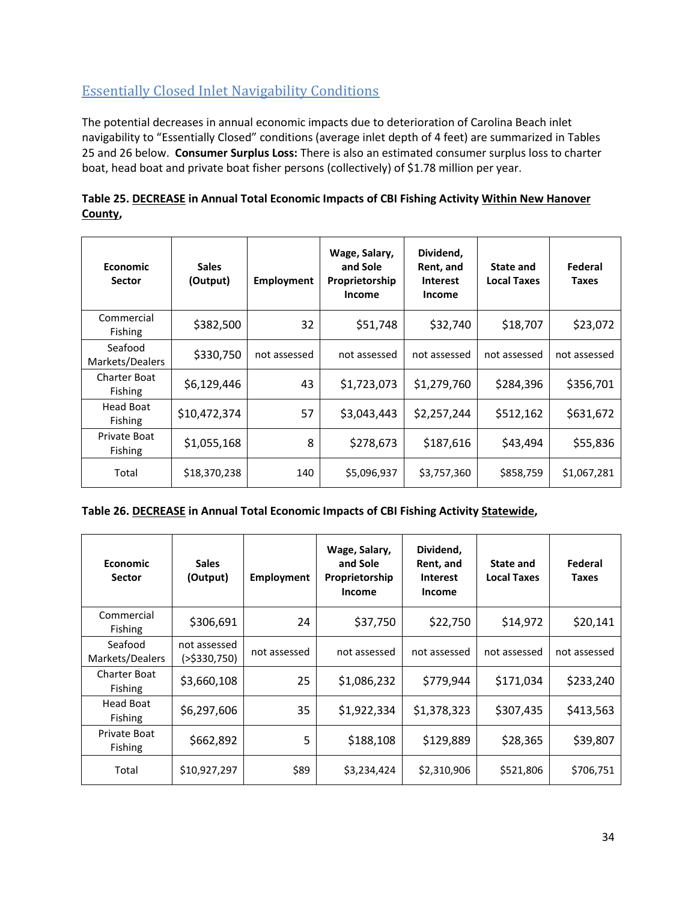## <span id="page-36-0"></span>Essentially Closed Inlet Navigability Conditions

The potential decreases in annual economic impacts due to deterioration of Carolina Beach inlet navigability to "Essentially Closed" conditions (average inlet depth of 4 feet) are summarized in Tables 25 and 26 below. **Consumer Surplus Loss:** There is also an estimated consumer surplus loss to charter boat, head boat and private boat fisher persons (collectively) of \$1.78 million per year.

| Table 25. DECREASE in Annual Total Economic Impacts of CBI Fishing Activity Within New Hanover |  |
|------------------------------------------------------------------------------------------------|--|
| County,                                                                                        |  |

| <b>Economic</b><br><b>Sector</b>      | <b>Sales</b><br>(Output) | <b>Employment</b> | Wage, Salary,<br>and Sole<br>Proprietorship<br><b>Income</b> | Dividend,<br>Rent, and<br><b>Interest</b><br><b>Income</b> | State and<br><b>Local Taxes</b> | Federal<br><b>Taxes</b> |
|---------------------------------------|--------------------------|-------------------|--------------------------------------------------------------|------------------------------------------------------------|---------------------------------|-------------------------|
| Commercial<br>Fishing                 | \$382,500                | 32                | \$51,748                                                     | \$32,740                                                   | \$18,707                        | \$23,072                |
| Seafood<br>Markets/Dealers            | \$330,750                | not assessed      | not assessed                                                 | not assessed                                               | not assessed                    | not assessed            |
| <b>Charter Boat</b><br><b>Fishing</b> | \$6,129,446              | 43                | \$1,723,073                                                  | \$1,279,760                                                | \$284,396                       | \$356,701               |
| Head Boat<br><b>Fishing</b>           | \$10,472,374             | 57                | \$3,043,443                                                  | \$2,257,244                                                | \$512,162                       | \$631,672               |
| Private Boat<br><b>Fishing</b>        | \$1,055,168              | 8                 | \$278,673                                                    | \$187,616                                                  | \$43,494                        | \$55,836                |
| Total                                 | \$18,370,238             | 140               | \$5,096,937                                                  | \$3,757,360                                                | \$858,759                       | \$1,067,281             |

#### **Table 26. DECREASE in Annual Total Economic Impacts of CBI Fishing Activity Statewide,**

| <b>Economic</b><br><b>Sector</b>      | <b>Sales</b><br>(Output)     | <b>Employment</b> | Wage, Salary,<br>and Sole<br>Proprietorship<br><b>Income</b> | Dividend,<br>Rent, and<br><b>Interest</b><br><b>Income</b> | <b>State and</b><br><b>Local Taxes</b> | Federal<br><b>Taxes</b> |
|---------------------------------------|------------------------------|-------------------|--------------------------------------------------------------|------------------------------------------------------------|----------------------------------------|-------------------------|
| Commercial<br>Fishing                 | \$306,691                    | 24                | \$37,750                                                     | \$22,750                                                   | \$14,972                               | \$20,141                |
| Seafood<br>Markets/Dealers            | not assessed<br>(>\$330,750) | not assessed      | not assessed                                                 | not assessed                                               | not assessed                           | not assessed            |
| <b>Charter Boat</b><br><b>Fishing</b> | \$3,660,108                  | 25                | \$1,086,232                                                  | \$779,944                                                  | \$171,034                              | \$233,240               |
| Head Boat<br><b>Fishing</b>           | \$6,297,606                  | 35                | \$1,922,334                                                  | \$1,378,323                                                | \$307,435                              | \$413,563               |
| Private Boat<br><b>Fishing</b>        | \$662,892                    | 5                 | \$188,108                                                    | \$129,889                                                  | \$28,365                               | \$39,807                |
| Total                                 | \$10,927,297                 | \$89              | \$3,234,424                                                  | \$2,310,906                                                | \$521,806                              | \$706,751               |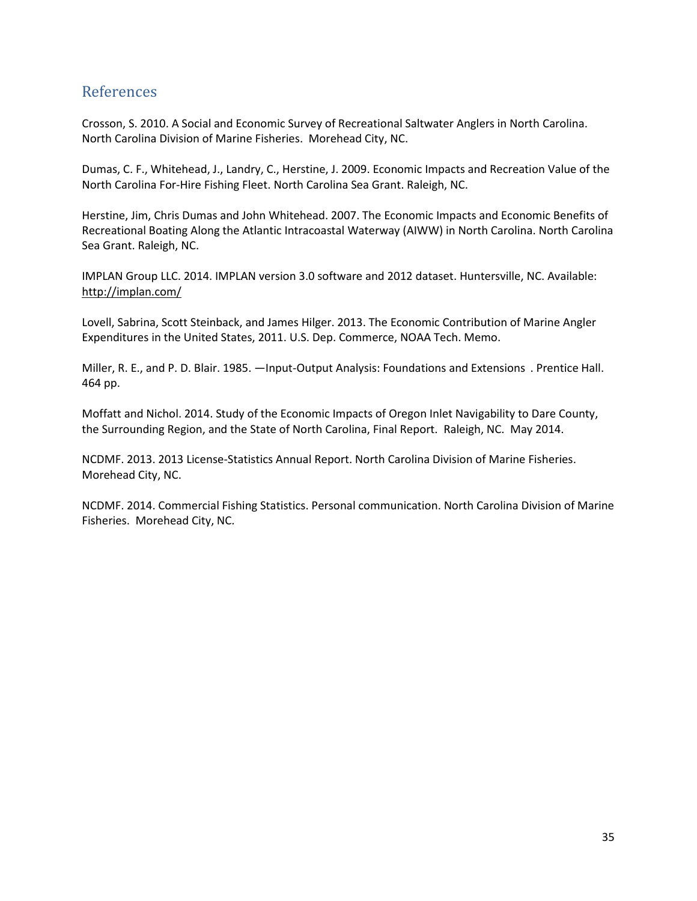## <span id="page-37-0"></span>References

Crosson, S. 2010. A Social and Economic Survey of Recreational Saltwater Anglers in North Carolina. North Carolina Division of Marine Fisheries. Morehead City, NC.

Dumas, C. F., Whitehead, J., Landry, C., Herstine, J. 2009. Economic Impacts and Recreation Value of the North Carolina For-Hire Fishing Fleet. North Carolina Sea Grant. Raleigh, NC.

Herstine, Jim, Chris Dumas and John Whitehead. 2007. The Economic Impacts and Economic Benefits of Recreational Boating Along the Atlantic Intracoastal Waterway (AIWW) in North Carolina. North Carolina Sea Grant. Raleigh, NC.

IMPLAN Group LLC. 2014. IMPLAN version 3.0 software and 2012 dataset. Huntersville, NC. Available: <http://implan.com/>

Lovell, Sabrina, Scott Steinback, and James Hilger. 2013. The Economic Contribution of Marine Angler Expenditures in the United States, 2011. U.S. Dep. Commerce, NOAA Tech. Memo.

Miller, R. E., and P. D. Blair. 1985. —Input-Output Analysis: Foundations and Extensions . Prentice Hall. 464 pp.

Moffatt and Nichol. 2014. Study of the Economic Impacts of Oregon Inlet Navigability to Dare County, the Surrounding Region, and the State of North Carolina, Final Report. Raleigh, NC. May 2014.

NCDMF. 2013. 2013 License-Statistics Annual Report. North Carolina Division of Marine Fisheries. Morehead City, NC.

NCDMF. 2014. Commercial Fishing Statistics. Personal communication. North Carolina Division of Marine Fisheries. Morehead City, NC.